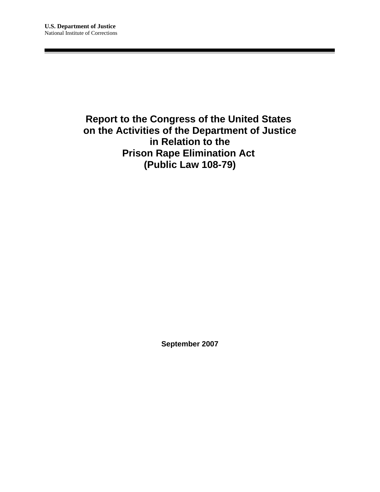## **Report to the Congress of the United States on the Activities of the Department of Justice in Relation to the Prison Rape Elimination Act (Public Law 108-79)**

**September 2007**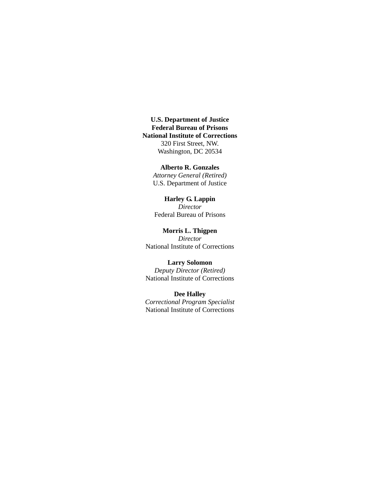**U.S. Department of Justice Federal Bureau of Prisons National Institute of Corrections** 320 First Street, NW. Washington, DC 20534

#### **Alberto R. Gonzales**

*Attorney General (Retired)* U.S. Department of Justice

#### **Harley G. Lappin** *Director*

Federal Bureau of Prisons

**Morris L. Thigpen** *Director* National Institute of Corrections

**Larry Solomon** *Deputy Director (Retired)* National Institute of Corrections

**Dee Halley** *Correctional Program Specialist* National Institute of Corrections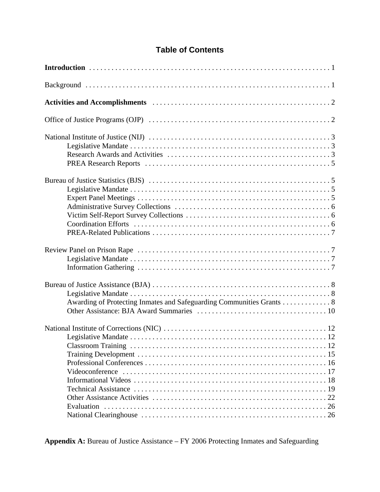## **Table of Contents**

| Awarding of Protecting Inmates and Safeguarding Communities Grants 8 |
|----------------------------------------------------------------------|
| Evaluation                                                           |

**Appendix A:** Bureau of Justice Assistance – FY 2006 Protecting Inmates and Safeguarding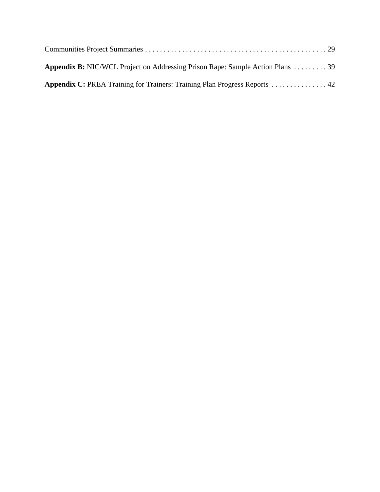| <b>Appendix B:</b> NIC/WCL Project on Addressing Prison Rape: Sample Action Plans  39 |  |
|---------------------------------------------------------------------------------------|--|
|                                                                                       |  |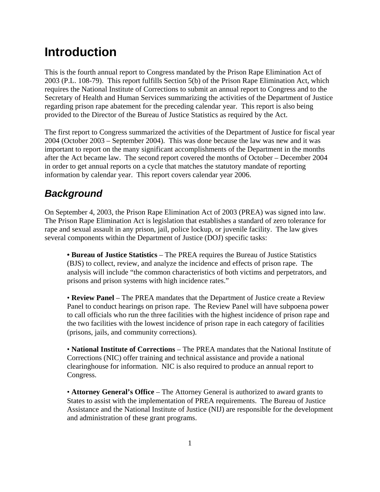# **Introduction**

This is the fourth annual report to Congress mandated by the Prison Rape Elimination Act of 2003 (P.L. 108-79). This report fulfills Section 5(b) of the Prison Rape Elimination Act, which requires the National Institute of Corrections to submit an annual report to Congress and to the Secretary of Health and Human Services summarizing the activities of the Department of Justice regarding prison rape abatement for the preceding calendar year. This report is also being provided to the Director of the Bureau of Justice Statistics as required by the Act.

The first report to Congress summarized the activities of the Department of Justice for fiscal year 2004 (October 2003 – September 2004). This was done because the law was new and it was important to report on the many significant accomplishments of the Department in the months after the Act became law. The second report covered the months of October – December 2004 in order to get annual reports on a cycle that matches the statutory mandate of reporting information by calendar year. This report covers calendar year 2006.

# *Background*

On September 4, 2003, the Prison Rape Elimination Act of 2003 (PREA) was signed into law. The Prison Rape Elimination Act is legislation that establishes a standard of zero tolerance for rape and sexual assault in any prison, jail, police lockup, or juvenile facility. The law gives several components within the Department of Justice (DOJ) specific tasks:

**• Bureau of Justice Statistics** – The PREA requires the Bureau of Justice Statistics (BJS) to collect, review, and analyze the incidence and effects of prison rape. The analysis will include "the common characteristics of both victims and perpetrators, and prisons and prison systems with high incidence rates."

• **Review Panel** – The PREA mandates that the Department of Justice create a Review Panel to conduct hearings on prison rape. The Review Panel will have subpoena power to call officials who run the three facilities with the highest incidence of prison rape and the two facilities with the lowest incidence of prison rape in each category of facilities (prisons, jails, and community corrections).

• **National Institute of Corrections** – The PREA mandates that the National Institute of Corrections (NIC) offer training and technical assistance and provide a national clearinghouse for information. NIC is also required to produce an annual report to Congress.

• **Attorney General's Office** – The Attorney General is authorized to award grants to States to assist with the implementation of PREA requirements. The Bureau of Justice Assistance and the National Institute of Justice (NIJ) are responsible for the development and administration of these grant programs.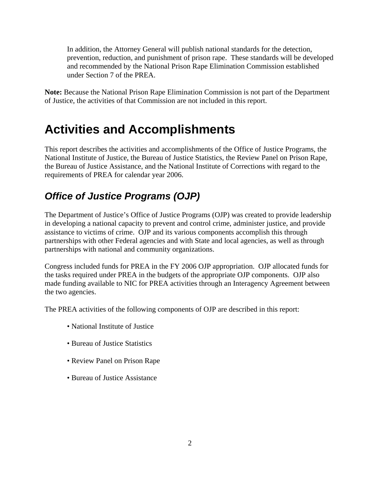In addition, the Attorney General will publish national standards for the detection, prevention, reduction, and punishment of prison rape. These standards will be developed and recommended by the National Prison Rape Elimination Commission established under Section 7 of the PREA.

**Note:** Because the National Prison Rape Elimination Commission is not part of the Department of Justice, the activities of that Commission are not included in this report.

# **Activities and Accomplishments**

This report describes the activities and accomplishments of the Office of Justice Programs, the National Institute of Justice, the Bureau of Justice Statistics, the Review Panel on Prison Rape, the Bureau of Justice Assistance, and the National Institute of Corrections with regard to the requirements of PREA for calendar year 2006.

# *Office of Justice Programs (OJP)*

The Department of Justice's Office of Justice Programs (OJP) was created to provide leadership in developing a national capacity to prevent and control crime, administer justice, and provide assistance to victims of crime. OJP and its various components accomplish this through partnerships with other Federal agencies and with State and local agencies, as well as through partnerships with national and community organizations.

Congress included funds for PREA in the FY 2006 OJP appropriation. OJP allocated funds for the tasks required under PREA in the budgets of the appropriate OJP components. OJP also made funding available to NIC for PREA activities through an Interagency Agreement between the two agencies.

The PREA activities of the following components of OJP are described in this report:

- National Institute of Justice
- Bureau of Justice Statistics
- Review Panel on Prison Rape
- Bureau of Justice Assistance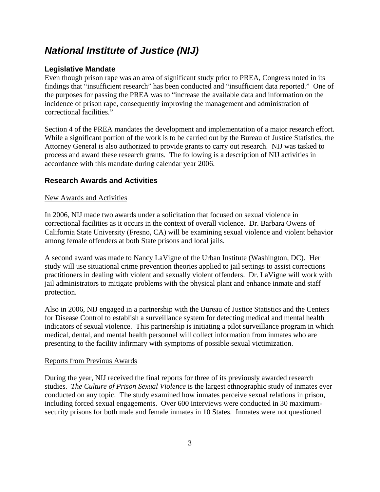## *National Institute of Justice (NIJ)*

## **Legislative Mandate**

Even though prison rape was an area of significant study prior to PREA, Congress noted in its findings that "insufficient research" has been conducted and "insufficient data reported." One of the purposes for passing the PREA was to "increase the available data and information on the incidence of prison rape, consequently improving the management and administration of correctional facilities."

Section 4 of the PREA mandates the development and implementation of a major research effort. While a significant portion of the work is to be carried out by the Bureau of Justice Statistics, the Attorney General is also authorized to provide grants to carry out research. NIJ was tasked to process and award these research grants. The following is a description of NIJ activities in accordance with this mandate during calendar year 2006.

## **Research Awards and Activities**

#### New Awards and Activities

In 2006, NIJ made two awards under a solicitation that focused on sexual violence in correctional facilities as it occurs in the context of overall violence. Dr. Barbara Owens of California State University (Fresno, CA) will be examining sexual violence and violent behavior among female offenders at both State prisons and local jails.

A second award was made to Nancy LaVigne of the Urban Institute (Washington, DC). Her study will use situational crime prevention theories applied to jail settings to assist corrections practitioners in dealing with violent and sexually violent offenders. Dr. LaVigne will work with jail administrators to mitigate problems with the physical plant and enhance inmate and staff protection.

Also in 2006, NIJ engaged in a partnership with the Bureau of Justice Statistics and the Centers for Disease Control to establish a surveillance system for detecting medical and mental health indicators of sexual violence. This partnership is initiating a pilot surveillance program in which medical, dental, and mental health personnel will collect information from inmates who are presenting to the facility infirmary with symptoms of possible sexual victimization.

#### Reports from Previous Awards

During the year, NIJ received the final reports for three of its previously awarded research studies. *The Culture of Prison Sexual Violence* is the largest ethnographic study of inmates ever conducted on any topic. The study examined how inmates perceive sexual relations in prison, including forced sexual engagements. Over 600 interviews were conducted in 30 maximumsecurity prisons for both male and female inmates in 10 States. Inmates were not questioned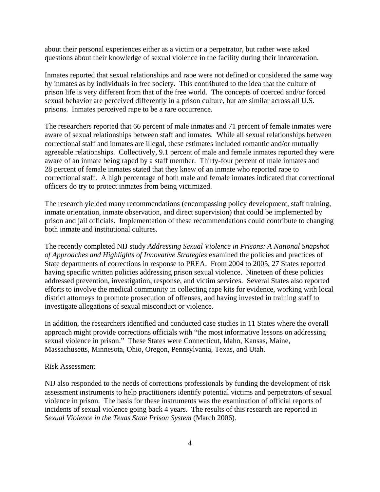about their personal experiences either as a victim or a perpetrator, but rather were asked questions about their knowledge of sexual violence in the facility during their incarceration.

Inmates reported that sexual relationships and rape were not defined or considered the same way by inmates as by individuals in free society. This contributed to the idea that the culture of prison life is very different from that of the free world. The concepts of coerced and/or forced sexual behavior are perceived differently in a prison culture, but are similar across all U.S. prisons. Inmates perceived rape to be a rare occurrence.

The researchers reported that 66 percent of male inmates and 71 percent of female inmates were aware of sexual relationships between staff and inmates. While all sexual relationships between correctional staff and inmates are illegal, these estimates included romantic and/or mutually agreeable relationships. Collectively, 9.1 percent of male and female inmates reported they were aware of an inmate being raped by a staff member. Thirty-four percent of male inmates and 28 percent of female inmates stated that they knew of an inmate who reported rape to correctional staff. A high percentage of both male and female inmates indicated that correctional officers do try to protect inmates from being victimized.

The research yielded many recommendations (encompassing policy development, staff training, inmate orientation, inmate observation, and direct supervision) that could be implemented by prison and jail officials. Implementation of these recommendations could contribute to changing both inmate and institutional cultures.

The recently completed NIJ study *Addressing Sexual Violence in Prisons: A National Snapshot of Approaches and Highlights of Innovative Strategies* examined the policies and practices of State departments of corrections in response to PREA. From 2004 to 2005, 27 States reported having specific written policies addressing prison sexual violence. Nineteen of these policies addressed prevention, investigation, response, and victim services. Several States also reported efforts to involve the medical community in collecting rape kits for evidence, working with local district attorneys to promote prosecution of offenses, and having invested in training staff to investigate allegations of sexual misconduct or violence.

In addition, the researchers identified and conducted case studies in 11 States where the overall approach might provide corrections officials with "the most informative lessons on addressing sexual violence in prison." These States were Connecticut, Idaho, Kansas, Maine, Massachusetts, Minnesota, Ohio, Oregon, Pennsylvania, Texas, and Utah.

#### Risk Assessment

NIJ also responded to the needs of corrections professionals by funding the development of risk assessment instruments to help practitioners identify potential victims and perpetrators of sexual violence in prison. The basis for these instruments was the examination of official reports of incidents of sexual violence going back 4 years. The results of this research are reported in *Sexual Violence in the Texas State Prison System* (March 2006).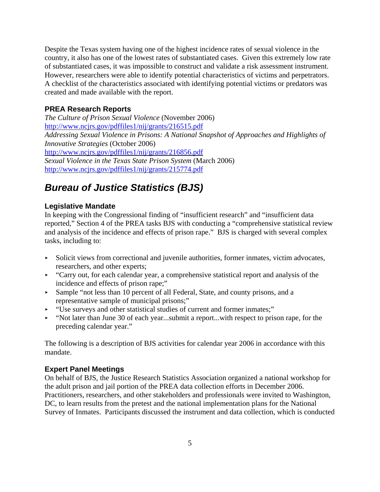Despite the Texas system having one of the highest incidence rates of sexual violence in the country, it also has one of the lowest rates of substantiated cases. Given this extremely low rate of substantiated cases, it was impossible to construct and validate a risk assessment instrument. However, researchers were able to identify potential characteristics of victims and perpetrators. A checklist of the characteristics associated with identifying potential victims or predators was created and made available with the report.

#### **PREA Research Reports**

*The Culture of Prison Sexual Violence* (November 2006) http://www.ncjrs.gov/pdffiles1/nij/grants/216515.pdf *Addressing Sexual Violence in Prisons: A National Snapshot of Approaches and Highlights of Innovative Strategies* (October 2006) http://www.ncjrs.gov/pdffiles1/nij/grants/216856.pdf *Sexual Violence in the Texas State Prison System* (March 2006) http://www.ncjrs.gov/pdffiles1/nij/grants/215774.pdf

## *Bureau of Justice Statistics (BJS)*

#### **Legislative Mandate**

In keeping with the Congressional finding of "insufficient research" and "insufficient data reported," Section 4 of the PREA tasks BJS with conducting a "comprehensive statistical review and analysis of the incidence and effects of prison rape." BJS is charged with several complex tasks, including to:

- < Solicit views from correctional and juvenile authorities, former inmates, victim advocates, researchers, and other experts;
- $\sim$  "Carry out, for each calendar year, a comprehensive statistical report and analysis of the incidence and effects of prison rape;"
- < Sample "not less than 10 percent of all Federal, State, and county prisons, and a representative sample of municipal prisons;"
- < "Use surveys and other statistical studies of current and former inmates;"
- $\blacktriangleright$  "Not later than June 30 of each year...submit a report...with respect to prison rape, for the preceding calendar year."

The following is a description of BJS activities for calendar year 2006 in accordance with this mandate.

#### **Expert Panel Meetings**

On behalf of BJS, the Justice Research Statistics Association organized a national workshop for the adult prison and jail portion of the PREA data collection efforts in December 2006. Practitioners, researchers, and other stakeholders and professionals were invited to Washington, DC, to learn results from the pretest and the national implementation plans for the National Survey of Inmates. Participants discussed the instrument and data collection, which is conducted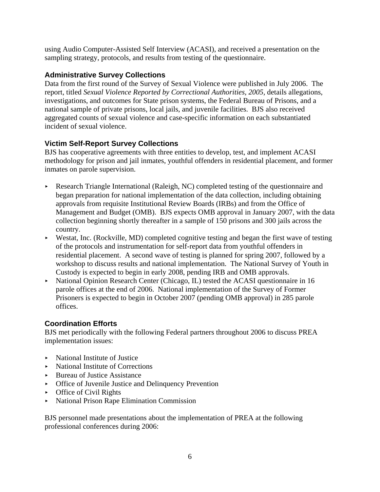using Audio Computer-Assisted Self Interview (ACASI), and received a presentation on the sampling strategy, protocols, and results from testing of the questionnaire.

## **Administrative Survey Collections**

Data from the first round of the Survey of Sexual Violence were published in July 2006. The report, titled *Sexual Violence Reported by Correctional Authorities, 2005,* details allegations, investigations, and outcomes for State prison systems, the Federal Bureau of Prisons, and a national sample of private prisons, local jails, and juvenile facilities. BJS also received aggregated counts of sexual violence and case-specific information on each substantiated incident of sexual violence.

## **Victim Self-Report Survey Collections**

BJS has cooperative agreements with three entities to develop, test, and implement ACASI methodology for prison and jail inmates, youthful offenders in residential placement, and former inmates on parole supervision.

- Research Triangle International (Raleigh, NC) completed testing of the questionnaire and began preparation for national implementation of the data collection, including obtaining approvals from requisite Institutional Review Boards (IRBs) and from the Office of Management and Budget (OMB). BJS expects OMB approval in January 2007, with the data collection beginning shortly thereafter in a sample of 150 prisons and 300 jails across the country.
- $\triangleright$  Westat, Inc. (Rockville, MD) completed cognitive testing and began the first wave of testing of the protocols and instrumentation for self-report data from youthful offenders in residential placement. A second wave of testing is planned for spring 2007, followed by a workshop to discuss results and national implementation. The National Survey of Youth in Custody is expected to begin in early 2008, pending IRB and OMB approvals.
- National Opinion Research Center (Chicago, IL) tested the ACASI questionnaire in 16 parole offices at the end of 2006. National implementation of the Survey of Former Prisoners is expected to begin in October 2007 (pending OMB approval) in 285 parole offices.

## **Coordination Efforts**

BJS met periodically with the following Federal partners throughout 2006 to discuss PREA implementation issues:

- National Institute of Justice
- $\triangleright$  National Institute of Corrections
- < Bureau of Justice Assistance
- < Office of Juvenile Justice and Delinquency Prevention
- $\triangleright$  Office of Civil Rights
- < National Prison Rape Elimination Commission

BJS personnel made presentations about the implementation of PREA at the following professional conferences during 2006: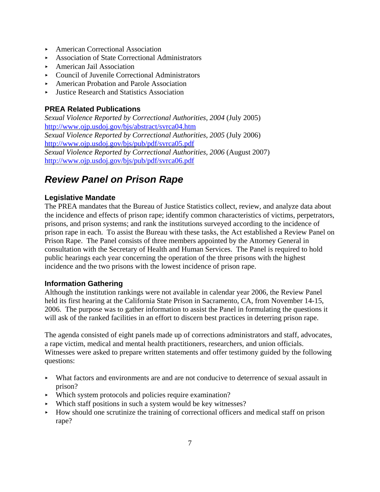- ▶ American Correctional Association
- < Association of State Correctional Administrators
- ▶ American Jail Association
- Council of Juvenile Correctional Administrators
- ▶ American Probation and Parole Association
- < Justice Research and Statistics Association

## **PREA Related Publications**

*Sexual Violence Reported by Correctional Authorities, 2004* (July 2005) http://www.ojp.usdoj.gov/bjs/abstract/svrca04.htm *Sexual Violence Reported by Correctional Authorities, 2005* (July 2006) http://www.ojp.usdoj.gov/bjs/pub/pdf/svrca05.pdf *Sexual Violence Reported by Correctional Authorities, 2006* (August 2007) http://www.ojp.usdoj.gov/bjs/pub/pdf/svrca06.pdf

## *Review Panel on Prison Rape*

#### **Legislative Mandate**

The PREA mandates that the Bureau of Justice Statistics collect, review, and analyze data about the incidence and effects of prison rape; identify common characteristics of victims, perpetrators, prisons, and prison systems; and rank the institutions surveyed according to the incidence of prison rape in each. To assist the Bureau with these tasks, the Act established a Review Panel on Prison Rape. The Panel consists of three members appointed by the Attorney General in consultation with the Secretary of Health and Human Services. The Panel is required to hold public hearings each year concerning the operation of the three prisons with the highest incidence and the two prisons with the lowest incidence of prison rape.

#### **Information Gathering**

Although the institution rankings were not available in calendar year 2006, the Review Panel held its first hearing at the California State Prison in Sacramento, CA, from November 14-15, 2006. The purpose was to gather information to assist the Panel in formulating the questions it will ask of the ranked facilities in an effort to discern best practices in deterring prison rape.

The agenda consisted of eight panels made up of corrections administrators and staff, advocates, a rape victim, medical and mental health practitioners, researchers, and union officials. Witnesses were asked to prepare written statements and offer testimony guided by the following questions:

- < What factors and environments are and are not conducive to deterrence of sexual assault in prison?
- < Which system protocols and policies require examination?
- < Which staff positions in such a system would be key witnesses?
- $\blacktriangleright$  How should one scrutinize the training of correctional officers and medical staff on prison rape?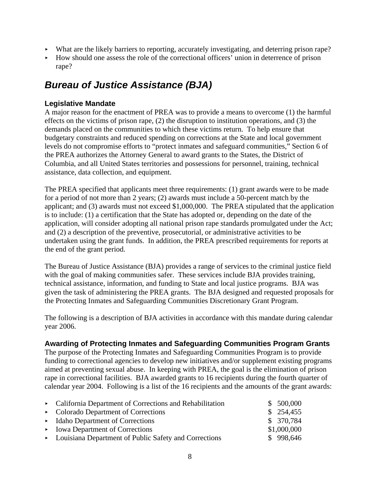- $\blacktriangleright$  What are the likely barriers to reporting, accurately investigating, and deterring prison rape?
- < How should one assess the role of the correctional officers' union in deterrence of prison rape?

# *Bureau of Justice Assistance (BJA)*

## **Legislative Mandate**

A major reason for the enactment of PREA was to provide a means to overcome (1) the harmful effects on the victims of prison rape, (2) the disruption to institution operations, and (3) the demands placed on the communities to which these victims return. To help ensure that budgetary constraints and reduced spending on corrections at the State and local government levels do not compromise efforts to "protect inmates and safeguard communities," Section 6 of the PREA authorizes the Attorney General to award grants to the States, the District of Columbia, and all United States territories and possessions for personnel, training, technical assistance, data collection, and equipment.

The PREA specified that applicants meet three requirements: (1) grant awards were to be made for a period of not more than 2 years; (2) awards must include a 50-percent match by the applicant; and (3) awards must not exceed \$1,000,000. The PREA stipulated that the application is to include: (1) a certification that the State has adopted or, depending on the date of the application, will consider adopting all national prison rape standards promulgated under the Act; and (2) a description of the preventive, prosecutorial, or administrative activities to be undertaken using the grant funds. In addition, the PREA prescribed requirements for reports at the end of the grant period.

The Bureau of Justice Assistance (BJA) provides a range of services to the criminal justice field with the goal of making communities safer. These services include BJA provides training, technical assistance, information, and funding to State and local justice programs. BJA was given the task of administering the PREA grants. The BJA designed and requested proposals for the Protecting Inmates and Safeguarding Communities Discretionary Grant Program.

The following is a description of BJA activities in accordance with this mandate during calendar year 2006.

## **Awarding of Protecting Inmates and Safeguarding Communities Program Grants**

The purpose of the Protecting Inmates and Safeguarding Communities Program is to provide funding to correctional agencies to develop new initiatives and/or supplement existing programs aimed at preventing sexual abuse. In keeping with PREA, the goal is the elimination of prison rape in correctional facilities. BJA awarded grants to 16 recipients during the fourth quarter of calendar year 2004. Following is a list of the 16 recipients and the amounts of the grant awards:

| • California Department of Corrections and Rehabilitation | \$500,000   |
|-----------------------------------------------------------|-------------|
| $\triangleright$ Colorado Department of Corrections       | \$254,455   |
| $\blacktriangleright$ Idaho Department of Corrections     | \$370,784   |
| $\triangleright$ Iowa Department of Corrections           | \$1,000,000 |
| • Louisiana Department of Public Safety and Corrections   | \$998,646   |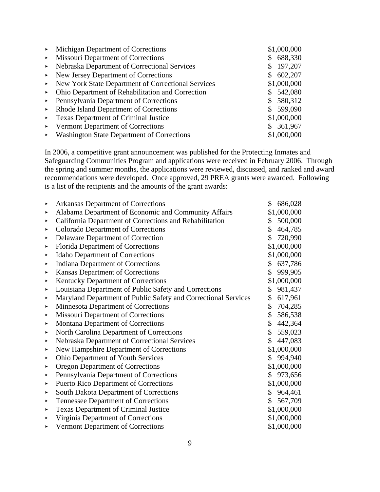| $\blacktriangleright$ . | Michigan Department of Corrections                      |    | \$1,000,000 |
|-------------------------|---------------------------------------------------------|----|-------------|
| $\blacktriangleright$ . | <b>Missouri Department of Corrections</b>               | S. | 688,330     |
| $\blacktriangleright$ . | Nebraska Department of Correctional Services            |    | 197,207     |
|                         | $\triangleright$ New Jersey Department of Corrections   |    | \$602,207   |
|                         | • New York State Department of Correctional Services    |    | \$1,000,000 |
| $\blacktriangleright$   | Ohio Department of Rehabilitation and Correction        |    | \$542,080   |
|                         | $\triangleright$ Pennsylvania Department of Corrections |    | \$580,312   |
|                         | • Rhode Island Department of Corrections                |    | \$599,090   |
|                         | • Texas Department of Criminal Justice                  |    | \$1,000,000 |
| $\blacktriangleright$ . | Vermont Department of Corrections                       |    | \$361,967   |
|                         | • Washington State Department of Corrections            |    | \$1,000,000 |

In 2006, a competitive grant announcement was published for the Protecting Inmates and Safeguarding Communities Program and applications were received in February 2006. Through the spring and summer months, the applications were reviewed, discussed, and ranked and award recommendations were developed. Once approved, 29 PREA grants were awarded. Following is a list of the recipients and the amounts of the grant awards:

| ▶                     | <b>Arkansas Department of Corrections</b>                      | \$<br>686,028 |
|-----------------------|----------------------------------------------------------------|---------------|
| ٠                     | Alabama Department of Economic and Community Affairs           | \$1,000,000   |
| ▶                     | California Department of Corrections and Rehabilitation        | \$<br>500,000 |
| ▶                     | <b>Colorado Department of Corrections</b>                      | \$<br>464,785 |
| ▶                     | Delaware Department of Correction                              | \$<br>720,990 |
| ▶                     | Florida Department of Corrections                              | \$1,000,000   |
| ▶                     | <b>Idaho Department of Corrections</b>                         | \$1,000,000   |
| ٠                     | <b>Indiana Department of Corrections</b>                       | \$<br>637,786 |
| ▶                     | Kansas Department of Corrections                               | \$<br>999,905 |
| $\blacktriangleright$ | Kentucky Department of Corrections                             | \$1,000,000   |
| ▶                     | Louisiana Department of Public Safety and Corrections          | \$<br>981,437 |
| ▶                     | Maryland Department of Public Safety and Correctional Services | \$<br>617,961 |
| ▶                     | <b>Minnesota Department of Corrections</b>                     | \$<br>704,285 |
| ▶                     | <b>Missouri Department of Corrections</b>                      | \$<br>586,538 |
| ▶                     | <b>Montana Department of Corrections</b>                       | \$<br>442,364 |
| ▶                     | North Carolina Department of Corrections                       | \$<br>559,023 |
| ▶                     | Nebraska Department of Correctional Services                   | \$<br>447,083 |
| ▶                     | New Hampshire Department of Corrections                        | \$1,000,000   |
| ٠                     | <b>Ohio Department of Youth Services</b>                       | \$<br>994,940 |
| ▶                     | <b>Oregon Department of Corrections</b>                        | \$1,000,000   |
| ▶                     | Pennsylvania Department of Corrections                         | \$<br>973,656 |
| ▶                     | <b>Puerto Rico Department of Corrections</b>                   | \$1,000,000   |
| ▶                     | South Dakota Department of Corrections                         | \$<br>964,461 |
| ٠                     | <b>Tennessee Department of Corrections</b>                     | \$<br>567,709 |
| ▶                     | <b>Texas Department of Criminal Justice</b>                    | \$1,000,000   |
| ▶                     | Virginia Department of Corrections                             | \$1,000,000   |
| ▶                     | Vermont Department of Corrections                              | \$1,000,000   |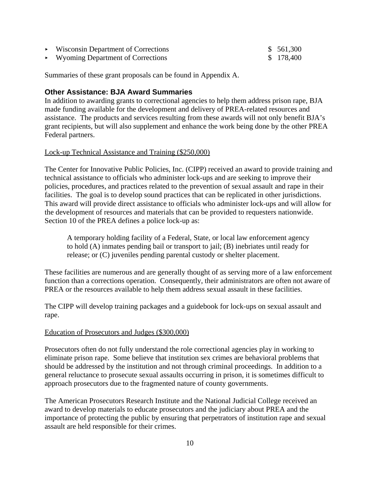| Wisconsin Department of Corrections                | \$561,300 |
|----------------------------------------------------|-----------|
| $\triangleright$ Wyoming Department of Corrections | \$178,400 |

Summaries of these grant proposals can be found in Appendix A.

#### **Other Assistance: BJA Award Summaries**

In addition to awarding grants to correctional agencies to help them address prison rape, BJA made funding available for the development and delivery of PREA-related resources and assistance. The products and services resulting from these awards will not only benefit BJA's grant recipients, but will also supplement and enhance the work being done by the other PREA Federal partners.

#### Lock-up Technical Assistance and Training (\$250,000)

The Center for Innovative Public Policies, Inc. (CIPP) received an award to provide training and technical assistance to officials who administer lock-ups and are seeking to improve their policies, procedures, and practices related to the prevention of sexual assault and rape in their facilities. The goal is to develop sound practices that can be replicated in other jurisdictions. This award will provide direct assistance to officials who administer lock-ups and will allow for the development of resources and materials that can be provided to requesters nationwide. Section 10 of the PREA defines a police lock-up as:

A temporary holding facility of a Federal, State, or local law enforcement agency to hold (A) inmates pending bail or transport to jail; (B) inebriates until ready for release; or (C) juveniles pending parental custody or shelter placement.

These facilities are numerous and are generally thought of as serving more of a law enforcement function than a corrections operation. Consequently, their administrators are often not aware of PREA or the resources available to help them address sexual assault in these facilities.

The CIPP will develop training packages and a guidebook for lock-ups on sexual assault and rape.

#### Education of Prosecutors and Judges (\$300,000)

Prosecutors often do not fully understand the role correctional agencies play in working to eliminate prison rape. Some believe that institution sex crimes are behavioral problems that should be addressed by the institution and not through criminal proceedings. In addition to a general reluctance to prosecute sexual assaults occurring in prison, it is sometimes difficult to approach prosecutors due to the fragmented nature of county governments.

The American Prosecutors Research Institute and the National Judicial College received an award to develop materials to educate prosecutors and the judiciary about PREA and the importance of protecting the public by ensuring that perpetrators of institution rape and sexual assault are held responsible for their crimes.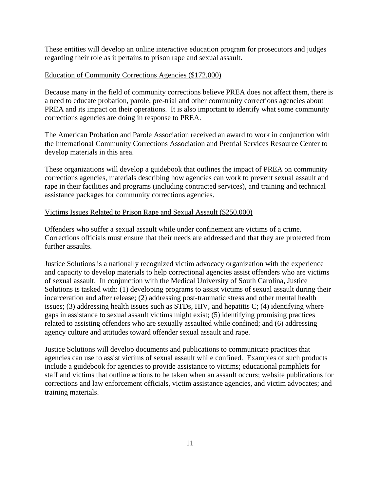These entities will develop an online interactive education program for prosecutors and judges regarding their role as it pertains to prison rape and sexual assault.

#### Education of Community Corrections Agencies (\$172,000)

Because many in the field of community corrections believe PREA does not affect them, there is a need to educate probation, parole, pre-trial and other community corrections agencies about PREA and its impact on their operations. It is also important to identify what some community corrections agencies are doing in response to PREA.

The American Probation and Parole Association received an award to work in conjunction with the International Community Corrections Association and Pretrial Services Resource Center to develop materials in this area.

These organizations will develop a guidebook that outlines the impact of PREA on community corrections agencies, materials describing how agencies can work to prevent sexual assault and rape in their facilities and programs (including contracted services), and training and technical assistance packages for community corrections agencies.

#### Victims Issues Related to Prison Rape and Sexual Assault (\$250,000)

Offenders who suffer a sexual assault while under confinement are victims of a crime. Corrections officials must ensure that their needs are addressed and that they are protected from further assaults.

Justice Solutions is a nationally recognized victim advocacy organization with the experience and capacity to develop materials to help correctional agencies assist offenders who are victims of sexual assault. In conjunction with the Medical University of South Carolina, Justice Solutions is tasked with: (1) developing programs to assist victims of sexual assault during their incarceration and after release; (2) addressing post-traumatic stress and other mental health issues; (3) addressing health issues such as STDs, HIV, and hepatitis C; (4) identifying where gaps in assistance to sexual assault victims might exist; (5) identifying promising practices related to assisting offenders who are sexually assaulted while confined; and (6) addressing agency culture and attitudes toward offender sexual assault and rape.

Justice Solutions will develop documents and publications to communicate practices that agencies can use to assist victims of sexual assault while confined. Examples of such products include a guidebook for agencies to provide assistance to victims; educational pamphlets for staff and victims that outline actions to be taken when an assault occurs; website publications for corrections and law enforcement officials, victim assistance agencies, and victim advocates; and training materials.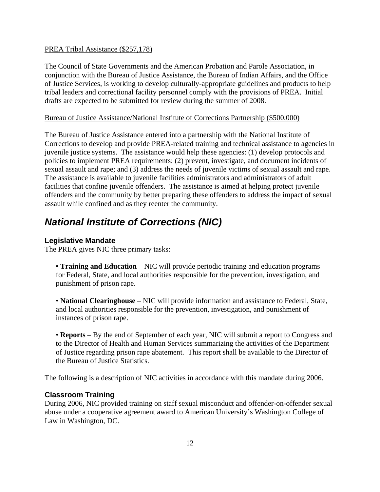#### PREA Tribal Assistance (\$257,178)

The Council of State Governments and the American Probation and Parole Association, in conjunction with the Bureau of Justice Assistance, the Bureau of Indian Affairs, and the Office of Justice Services, is working to develop culturally-appropriate guidelines and products to help tribal leaders and correctional facility personnel comply with the provisions of PREA. Initial drafts are expected to be submitted for review during the summer of 2008.

#### Bureau of Justice Assistance/National Institute of Corrections Partnership (\$500,000)

The Bureau of Justice Assistance entered into a partnership with the National Institute of Corrections to develop and provide PREA-related training and technical assistance to agencies in juvenile justice systems. The assistance would help these agencies: (1) develop protocols and policies to implement PREA requirements; (2) prevent, investigate, and document incidents of sexual assault and rape; and (3) address the needs of juvenile victims of sexual assault and rape. The assistance is available to juvenile facilities administrators and administrators of adult facilities that confine juvenile offenders. The assistance is aimed at helping protect juvenile offenders and the community by better preparing these offenders to address the impact of sexual assault while confined and as they reenter the community.

## *National Institute of Corrections (NIC)*

#### **Legislative Mandate**

The PREA gives NIC three primary tasks:

• **Training and Education** – NIC will provide periodic training and education programs for Federal, State, and local authorities responsible for the prevention, investigation, and punishment of prison rape.

• **National Clearinghouse** – NIC will provide information and assistance to Federal, State, and local authorities responsible for the prevention, investigation, and punishment of instances of prison rape.

• **Reports** – By the end of September of each year, NIC will submit a report to Congress and to the Director of Health and Human Services summarizing the activities of the Department of Justice regarding prison rape abatement. This report shall be available to the Director of the Bureau of Justice Statistics.

The following is a description of NIC activities in accordance with this mandate during 2006.

#### **Classroom Training**

During 2006, NIC provided training on staff sexual misconduct and offender-on-offender sexual abuse under a cooperative agreement award to American University's Washington College of Law in Washington, DC.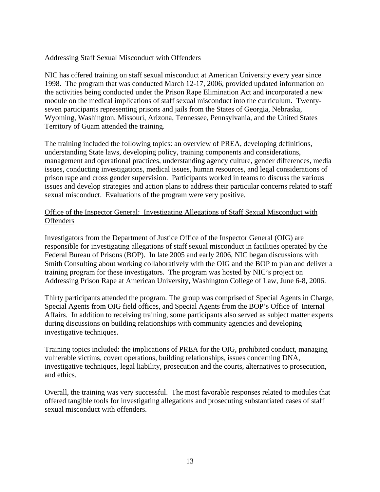#### Addressing Staff Sexual Misconduct with Offenders

NIC has offered training on staff sexual misconduct at American University every year since 1998. The program that was conducted March 12-17, 2006, provided updated information on the activities being conducted under the Prison Rape Elimination Act and incorporated a new module on the medical implications of staff sexual misconduct into the curriculum. Twentyseven participants representing prisons and jails from the States of Georgia, Nebraska, Wyoming, Washington, Missouri, Arizona, Tennessee, Pennsylvania, and the United States Territory of Guam attended the training.

The training included the following topics: an overview of PREA, developing definitions, understanding State laws, developing policy, training components and considerations, management and operational practices, understanding agency culture, gender differences, media issues, conducting investigations, medical issues, human resources, and legal considerations of prison rape and cross gender supervision. Participants worked in teams to discuss the various issues and develop strategies and action plans to address their particular concerns related to staff sexual misconduct. Evaluations of the program were very positive.

#### Office of the Inspector General: Investigating Allegations of Staff Sexual Misconduct with **Offenders**

Investigators from the Department of Justice Office of the Inspector General (OIG) are responsible for investigating allegations of staff sexual misconduct in facilities operated by the Federal Bureau of Prisons (BOP). In late 2005 and early 2006, NIC began discussions with Smith Consulting about working collaboratively with the OIG and the BOP to plan and deliver a training program for these investigators. The program was hosted by NIC's project on Addressing Prison Rape at American University, Washington College of Law, June 6-8, 2006.

Thirty participants attended the program. The group was comprised of Special Agents in Charge, Special Agents from OIG field offices, and Special Agents from the BOP's Office of Internal Affairs. In addition to receiving training, some participants also served as subject matter experts during discussions on building relationships with community agencies and developing investigative techniques.

Training topics included: the implications of PREA for the OIG, prohibited conduct, managing vulnerable victims, covert operations, building relationships, issues concerning DNA, investigative techniques, legal liability, prosecution and the courts, alternatives to prosecution, and ethics.

Overall, the training was very successful. The most favorable responses related to modules that offered tangible tools for investigating allegations and prosecuting substantiated cases of staff sexual misconduct with offenders.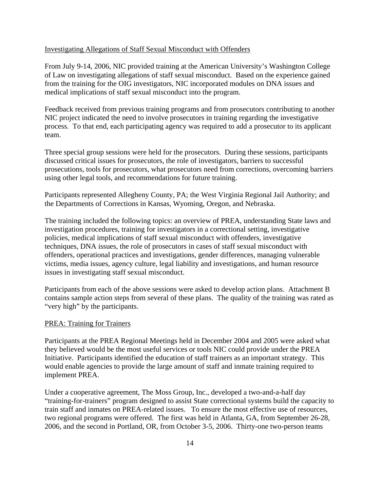#### Investigating Allegations of Staff Sexual Misconduct with Offenders

From July 9-14, 2006, NIC provided training at the American University's Washington College of Law on investigating allegations of staff sexual misconduct. Based on the experience gained from the training for the OIG investigators, NIC incorporated modules on DNA issues and medical implications of staff sexual misconduct into the program.

Feedback received from previous training programs and from prosecutors contributing to another NIC project indicated the need to involve prosecutors in training regarding the investigative process. To that end, each participating agency was required to add a prosecutor to its applicant team.

Three special group sessions were held for the prosecutors. During these sessions, participants discussed critical issues for prosecutors, the role of investigators, barriers to successful prosecutions, tools for prosecutors, what prosecutors need from corrections, overcoming barriers using other legal tools, and recommendations for future training.

Participants represented Allegheny County, PA; the West Virginia Regional Jail Authority; and the Departments of Corrections in Kansas, Wyoming, Oregon, and Nebraska.

The training included the following topics: an overview of PREA, understanding State laws and investigation procedures, training for investigators in a correctional setting, investigative policies, medical implications of staff sexual misconduct with offenders, investigative techniques, DNA issues, the role of prosecutors in cases of staff sexual misconduct with offenders, operational practices and investigations, gender differences, managing vulnerable victims, media issues, agency culture, legal liability and investigations, and human resource issues in investigating staff sexual misconduct.

Participants from each of the above sessions were asked to develop action plans. Attachment B contains sample action steps from several of these plans. The quality of the training was rated as "very high" by the participants.

#### PREA: Training for Trainers

Participants at the PREA Regional Meetings held in December 2004 and 2005 were asked what they believed would be the most useful services or tools NIC could provide under the PREA Initiative. Participants identified the education of staff trainers as an important strategy. This would enable agencies to provide the large amount of staff and inmate training required to implement PREA.

Under a cooperative agreement, The Moss Group, Inc., developed a two-and-a-half day "training-for-trainers" program designed to assist State correctional systems build the capacity to train staff and inmates on PREA-related issues. To ensure the most effective use of resources, two regional programs were offered. The first was held in Atlanta, GA, from September 26-28, 2006, and the second in Portland, OR, from October 3-5, 2006. Thirty-one two-person teams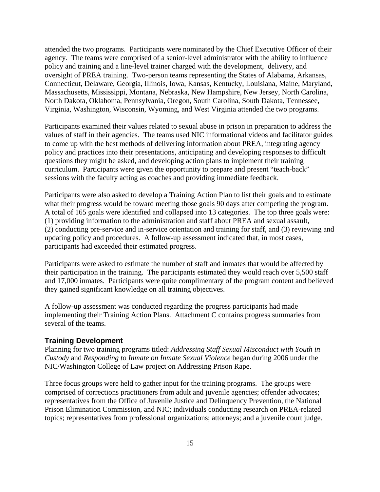attended the two programs. Participants were nominated by the Chief Executive Officer of their agency. The teams were comprised of a senior-level administrator with the ability to influence policy and training and a line-level trainer charged with the development, delivery, and oversight of PREA training. Two-person teams representing the States of Alabama, Arkansas, Connecticut, Delaware, Georgia, Illinois, Iowa, Kansas, Kentucky, Louisiana, Maine, Maryland, Massachusetts, Mississippi, Montana, Nebraska, New Hampshire, New Jersey, North Carolina, North Dakota, Oklahoma, Pennsylvania, Oregon, South Carolina, South Dakota, Tennessee, Virginia, Washington, Wisconsin, Wyoming, and West Virginia attended the two programs.

Participants examined their values related to sexual abuse in prison in preparation to address the values of staff in their agencies. The teams used NIC informational videos and facilitator guides to come up with the best methods of delivering information about PREA, integrating agency policy and practices into their presentations, anticipating and developing responses to difficult questions they might be asked, and developing action plans to implement their training curriculum. Participants were given the opportunity to prepare and present "teach-back" sessions with the faculty acting as coaches and providing immediate feedback.

Participants were also asked to develop a Training Action Plan to list their goals and to estimate what their progress would be toward meeting those goals 90 days after competing the program. A total of 165 goals were identified and collapsed into 13 categories. The top three goals were: (1) providing information to the administration and staff about PREA and sexual assault, (2) conducting pre-service and in-service orientation and training for staff, and (3) reviewing and updating policy and procedures. A follow-up assessment indicated that, in most cases, participants had exceeded their estimated progress.

Participants were asked to estimate the number of staff and inmates that would be affected by their participation in the training. The participants estimated they would reach over 5,500 staff and 17,000 inmates. Participants were quite complimentary of the program content and believed they gained significant knowledge on all training objectives.

A follow-up assessment was conducted regarding the progress participants had made implementing their Training Action Plans. Attachment C contains progress summaries from several of the teams.

#### **Training Development**

Planning for two training programs titled: *Addressing Staff Sexual Misconduct with Youth in Custody* and *Responding to Inmate on Inmate Sexual Violence* began during 2006 under the NIC/Washington College of Law project on Addressing Prison Rape.

Three focus groups were held to gather input for the training programs. The groups were comprised of corrections practitioners from adult and juvenile agencies; offender advocates; representatives from the Office of Juvenile Justice and Delinquency Prevention, the National Prison Elimination Commission, and NIC; individuals conducting research on PREA-related topics; representatives from professional organizations; attorneys; and a juvenile court judge.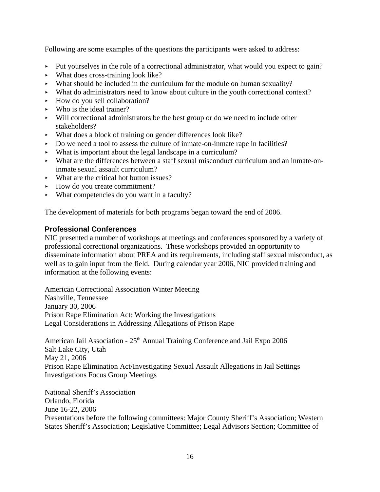Following are some examples of the questions the participants were asked to address:

- Put yourselves in the role of a correctional administrator, what would you expect to gain?
- $\blacktriangleright$  What does cross-training look like?
- $\blacktriangleright$  What should be included in the curriculum for the module on human sexuality?
- < What do administrators need to know about culture in the youth correctional context?
- $\blacktriangleright$  How do you sell collaboration?
- $\blacktriangleright$  Who is the ideal trainer?
- $\blacktriangleright$  Will correctional administrators be the best group or do we need to include other stakeholders?
- < What does a block of training on gender differences look like?
- $\triangleright$  Do we need a tool to assess the culture of inmate-on-inmate rape in facilities?
- $\blacktriangleright$  What is important about the legal landscape in a curriculum?
- < What are the differences between a staff sexual misconduct curriculum and an inmate-oninmate sexual assault curriculum?
- $\blacktriangleright$  What are the critical hot button issues?
- How do you create commitment?
- $\blacktriangleright$  What competencies do you want in a faculty?

The development of materials for both programs began toward the end of 2006.

#### **Professional Conferences**

NIC presented a number of workshops at meetings and conferences sponsored by a variety of professional correctional organizations. These workshops provided an opportunity to disseminate information about PREA and its requirements, including staff sexual misconduct, as well as to gain input from the field. During calendar year 2006, NIC provided training and information at the following events:

American Correctional Association Winter Meeting Nashville, Tennessee January 30, 2006 Prison Rape Elimination Act: Working the Investigations Legal Considerations in Addressing Allegations of Prison Rape

American Jail Association -  $25<sup>th</sup>$  Annual Training Conference and Jail Expo 2006 Salt Lake City, Utah May 21, 2006 Prison Rape Elimination Act/Investigating Sexual Assault Allegations in Jail Settings Investigations Focus Group Meetings

National Sheriff's Association Orlando, Florida June 16-22, 2006 Presentations before the following committees: Major County Sheriff's Association; Western States Sheriff's Association; Legislative Committee; Legal Advisors Section; Committee of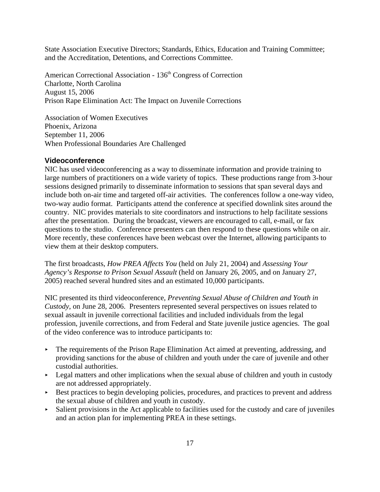State Association Executive Directors; Standards, Ethics, Education and Training Committee; and the Accreditation, Detentions, and Corrections Committee.

American Correctional Association - 136<sup>th</sup> Congress of Correction Charlotte, North Carolina August 15, 2006 Prison Rape Elimination Act: The Impact on Juvenile Corrections

Association of Women Executives Phoenix, Arizona September 11, 2006 When Professional Boundaries Are Challenged

#### **Videoconference**

NIC has used videoconferencing as a way to disseminate information and provide training to large numbers of practitioners on a wide variety of topics. These productions range from 3-hour sessions designed primarily to disseminate information to sessions that span several days and include both on-air time and targeted off-air activities. The conferences follow a one-way video, two-way audio format. Participants attend the conference at specified downlink sites around the country. NIC provides materials to site coordinators and instructions to help facilitate sessions after the presentation. During the broadcast, viewers are encouraged to call, e-mail, or fax questions to the studio. Conference presenters can then respond to these questions while on air. More recently, these conferences have been webcast over the Internet, allowing participants to view them at their desktop computers.

The first broadcasts, *How PREA Affects You* (held on July 21, 2004) and *Assessing Your Agency's Response to Prison Sexual Assault* (held on January 26, 2005, and on January 27, 2005) reached several hundred sites and an estimated 10,000 participants.

NIC presented its third videoconference, *Preventing Sexual Abuse of Children and Youth in Custody*, on June 28, 2006. Presenters represented several perspectives on issues related to sexual assault in juvenile correctional facilities and included individuals from the legal profession, juvenile corrections, and from Federal and State juvenile justice agencies. The goal of the video conference was to introduce participants to:

- $\blacktriangleright$  The requirements of the Prison Rape Elimination Act aimed at preventing, addressing, and providing sanctions for the abuse of children and youth under the care of juvenile and other custodial authorities.
- $\blacktriangleright$  Legal matters and other implications when the sexual abuse of children and youth in custody are not addressed appropriately.
- $\triangleright$  Best practices to begin developing policies, procedures, and practices to prevent and address the sexual abuse of children and youth in custody.
- $\triangleright$  Salient provisions in the Act applicable to facilities used for the custody and care of juveniles and an action plan for implementing PREA in these settings.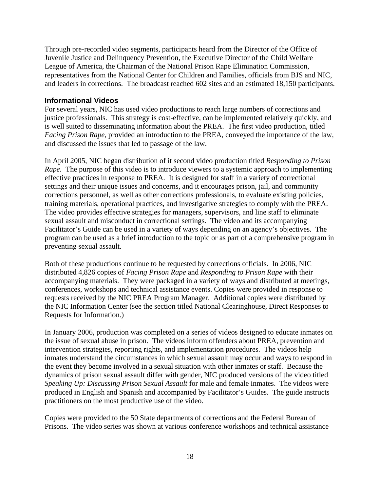Through pre-recorded video segments, participants heard from the Director of the Office of Juvenile Justice and Delinquency Prevention, the Executive Director of the Child Welfare League of America, the Chairman of the National Prison Rape Elimination Commission, representatives from the National Center for Children and Families, officials from BJS and NIC, and leaders in corrections. The broadcast reached 602 sites and an estimated 18,150 participants.

#### **Informational Videos**

For several years, NIC has used video productions to reach large numbers of corrections and justice professionals. This strategy is cost-effective, can be implemented relatively quickly, and is well suited to disseminating information about the PREA. The first video production, titled *Facing Prison Rape*, provided an introduction to the PREA, conveyed the importance of the law, and discussed the issues that led to passage of the law.

In April 2005, NIC began distribution of it second video production titled *Responding to Prison Rape.* The purpose of this video is to introduce viewers to a systemic approach to implementing effective practices in response to PREA. It is designed for staff in a variety of correctional settings and their unique issues and concerns, and it encourages prison, jail, and community corrections personnel, as well as other corrections professionals, to evaluate existing policies, training materials, operational practices, and investigative strategies to comply with the PREA. The video provides effective strategies for managers, supervisors, and line staff to eliminate sexual assault and misconduct in correctional settings. The video and its accompanying Facilitator's Guide can be used in a variety of ways depending on an agency's objectives. The program can be used as a brief introduction to the topic or as part of a comprehensive program in preventing sexual assault.

Both of these productions continue to be requested by corrections officials. In 2006, NIC distributed 4,826 copies of *Facing Prison Rape* and *Responding to Prison Rape* with their accompanying materials. They were packaged in a variety of ways and distributed at meetings, conferences, workshops and technical assistance events. Copies were provided in response to requests received by the NIC PREA Program Manager. Additional copies were distributed by the NIC Information Center (see the section titled National Clearinghouse, Direct Responses to Requests for Information.)

In January 2006, production was completed on a series of videos designed to educate inmates on the issue of sexual abuse in prison. The videos inform offenders about PREA, prevention and intervention strategies, reporting rights, and implementation procedures. The videos help inmates understand the circumstances in which sexual assault may occur and ways to respond in the event they become involved in a sexual situation with other inmates or staff. Because the dynamics of prison sexual assault differ with gender, NIC produced versions of the video titled *Speaking Up: Discussing Prison Sexual Assault* for male and female inmates. The videos were produced in English and Spanish and accompanied by Facilitator's Guides. The guide instructs practitioners on the most productive use of the video.

Copies were provided to the 50 State departments of corrections and the Federal Bureau of Prisons. The video series was shown at various conference workshops and technical assistance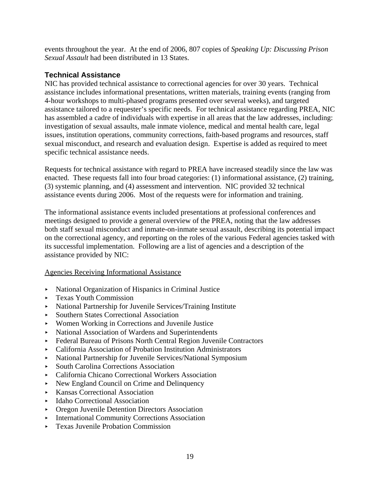events throughout the year. At the end of 2006, 807 copies of *Speaking Up: Discussing Prison Sexual Assault* had been distributed in 13 States.

## **Technical Assistance**

NIC has provided technical assistance to correctional agencies for over 30 years. Technical assistance includes informational presentations, written materials, training events (ranging from 4-hour workshops to multi-phased programs presented over several weeks), and targeted assistance tailored to a requester's specific needs. For technical assistance regarding PREA, NIC has assembled a cadre of individuals with expertise in all areas that the law addresses, including: investigation of sexual assaults, male inmate violence, medical and mental health care, legal issues, institution operations, community corrections, faith-based programs and resources, staff sexual misconduct, and research and evaluation design. Expertise is added as required to meet specific technical assistance needs.

Requests for technical assistance with regard to PREA have increased steadily since the law was enacted. These requests fall into four broad categories: (1) informational assistance, (2) training, (3) systemic planning, and (4) assessment and intervention. NIC provided 32 technical assistance events during 2006. Most of the requests were for information and training.

The informational assistance events included presentations at professional conferences and meetings designed to provide a general overview of the PREA, noting that the law addresses both staff sexual misconduct and inmate-on-inmate sexual assault, describing its potential impact on the correctional agency, and reporting on the roles of the various Federal agencies tasked with its successful implementation. Following are a list of agencies and a description of the assistance provided by NIC:

#### Agencies Receiving Informational Assistance

- < National Organization of Hispanics in Criminal Justice
- **FICENCE YOUTH COMMISSION**
- < National Partnership for Juvenile Services/Training Institute
- Southern States Correctional Association
- < Women Working in Corrections and Juvenile Justice
- < National Association of Wardens and Superintendents
- < Federal Bureau of Prisons North Central Region Juvenile Contractors
- < California Association of Probation Institution Administrators
- < National Partnership for Juvenile Services/National Symposium
- < South Carolina Corrections Association
- < California Chicano Correctional Workers Association
- < New England Council on Crime and Delinquency
- ► Kansas Correctional Association
- ► Idaho Correctional Association
- **Directors Association** Directors Association
- **EXECUTE:** International Community Corrections Association
- **Exas Juvenile Probation Commission**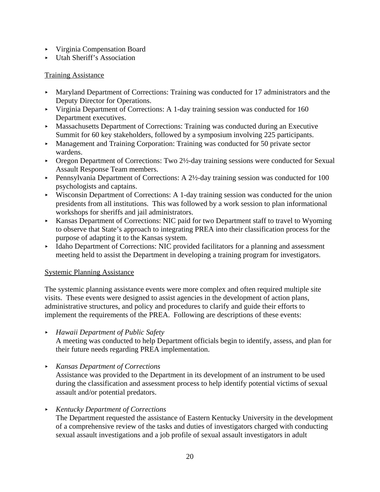- < Virginia Compensation Board
- < Utah Sheriff's Association

#### Training Assistance

- < Maryland Department of Corrections: Training was conducted for 17 administrators and the Deputy Director for Operations.
- $\blacktriangleright$  Virginia Department of Corrections: A 1-day training session was conducted for 160 Department executives.
- < Massachusetts Department of Corrections: Training was conducted during an Executive Summit for 60 key stakeholders, followed by a symposium involving 225 participants.
- < Management and Training Corporation: Training was conducted for 50 private sector wardens.
- ► Oregon Department of Corrections: Two 2½-day training sessions were conducted for Sexual Assault Response Team members.
- Pennsylvania Department of Corrections: A  $2\frac{1}{2}$ -day training session was conducted for 100 psychologists and captains.
- $\triangleright$  Wisconsin Department of Corrections: A 1-day training session was conducted for the union presidents from all institutions. This was followed by a work session to plan informational workshops for sheriffs and jail administrators.
- < Kansas Department of Corrections: NIC paid for two Department staff to travel to Wyoming to observe that State's approach to integrating PREA into their classification process for the purpose of adapting it to the Kansas system.
- Idaho Department of Corrections: NIC provided facilitators for a planning and assessment meeting held to assist the Department in developing a training program for investigators.

#### Systemic Planning Assistance

The systemic planning assistance events were more complex and often required multiple site visits. These events were designed to assist agencies in the development of action plans, administrative structures, and policy and procedures to clarify and guide their efforts to implement the requirements of the PREA. Following are descriptions of these events:

- < *Hawaii Department of Public Safety* A meeting was conducted to help Department officials begin to identify, assess, and plan for their future needs regarding PREA implementation.
- < *Kansas Department of Corrections* Assistance was provided to the Department in its development of an instrument to be used during the classification and assessment process to help identify potential victims of sexual assault and/or potential predators.
- < *Kentucky Department of Corrections*

The Department requested the assistance of Eastern Kentucky University in the development of a comprehensive review of the tasks and duties of investigators charged with conducting sexual assault investigations and a job profile of sexual assault investigators in adult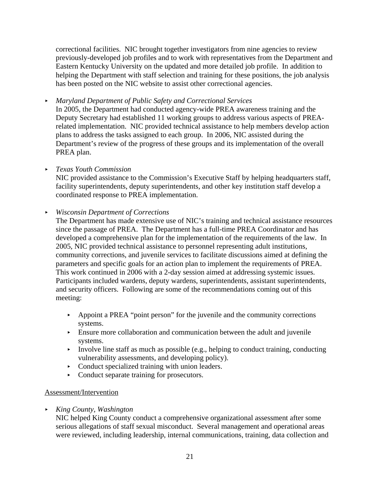correctional facilities. NIC brought together investigators from nine agencies to review previously-developed job profiles and to work with representatives from the Department and Eastern Kentucky University on the updated and more detailed job profile. In addition to helping the Department with staff selection and training for these positions, the job analysis has been posted on the NIC website to assist other correctional agencies.

< *Maryland Department of Public Safety and Correctional Services*

In 2005, the Department had conducted agency-wide PREA awareness training and the Deputy Secretary had established 11 working groups to address various aspects of PREArelated implementation. NIC provided technical assistance to help members develop action plans to address the tasks assigned to each group. In 2006, NIC assisted during the Department's review of the progress of these groups and its implementation of the overall PREA plan.

#### < *Texas Youth Commission*

NIC provided assistance to the Commission's Executive Staff by helping headquarters staff, facility superintendents, deputy superintendents, and other key institution staff develop a coordinated response to PREA implementation.

#### < *Wisconsin Department of Corrections*

The Department has made extensive use of NIC's training and technical assistance resources since the passage of PREA. The Department has a full-time PREA Coordinator and has developed a comprehensive plan for the implementation of the requirements of the law. In 2005, NIC provided technical assistance to personnel representing adult institutions, community corrections, and juvenile services to facilitate discussions aimed at defining the parameters and specific goals for an action plan to implement the requirements of PREA. This work continued in 2006 with a 2-day session aimed at addressing systemic issues. Participants included wardens, deputy wardens, superintendents, assistant superintendents, and security officers. Following are some of the recommendations coming out of this meeting:

- $\rightarrow$  Appoint a PREA "point person" for the juvenile and the community corrections systems.
- $\blacktriangleright$  Ensure more collaboration and communication between the adult and juvenile systems.
- Involve line staff as much as possible (e.g., helping to conduct training, conducting vulnerability assessments, and developing policy).
- $\triangleright$  Conduct specialized training with union leaders.
- Conduct separate training for prosecutors.

#### Assessment/Intervention

< *King County, Washington*

NIC helped King County conduct a comprehensive organizational assessment after some serious allegations of staff sexual misconduct. Several management and operational areas were reviewed, including leadership, internal communications, training, data collection and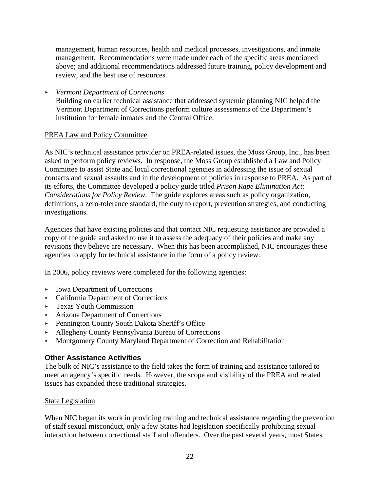management, human resources, health and medical processes, investigations, and inmate management. Recommendations were made under each of the specific areas mentioned above; and additional recommendations addressed future training, policy development and review, and the best use of resources.

< *Vermont Department of Corrections*

Building on earlier technical assistance that addressed systemic planning NIC helped the Vermont Department of Corrections perform culture assessments of the Department's institution for female inmates and the Central Office.

#### PREA Law and Policy Committee

As NIC's technical assistance provider on PREA-related issues, the Moss Group, Inc., has been asked to perform policy reviews. In response, the Moss Group established a Law and Policy Committee to assist State and local correctional agencies in addressing the issue of sexual contacts and sexual assaults and in the development of policies in response to PREA. As part of its efforts, the Committee developed a policy guide titled *Prison Rape Elimination Act: Considerations for Policy Review*. The guide explores areas such as policy organization, definitions, a zero-tolerance standard, the duty to report, prevention strategies, and conducting investigations.

Agencies that have existing policies and that contact NIC requesting assistance are provided a copy of the guide and asked to use it to assess the adequacy of their policies and make any revisions they believe are necessary. When this has been accomplished, NIC encourages these agencies to apply for technical assistance in the form of a policy review.

In 2006, policy reviews were completed for the following agencies:

- Iowa Department of Corrections
- < California Department of Corrections
- **FICENTIAN COMMISSION**
- < Arizona Department of Corrections
- ▶ Pennington County South Dakota Sheriff's Office
- < Allegheny County Pennsylvania Bureau of Corrections
- < Montgomery County Maryland Department of Correction and Rehabilitation

#### **Other Assistance Activities**

The bulk of NIC's assistance to the field takes the form of training and assistance tailored to meet an agency's specific needs. However, the scope and visibility of the PREA and related issues has expanded these traditional strategies.

#### State Legislation

When NIC began its work in providing training and technical assistance regarding the prevention of staff sexual misconduct, only a few States had legislation specifically prohibiting sexual interaction between correctional staff and offenders. Over the past several years, most States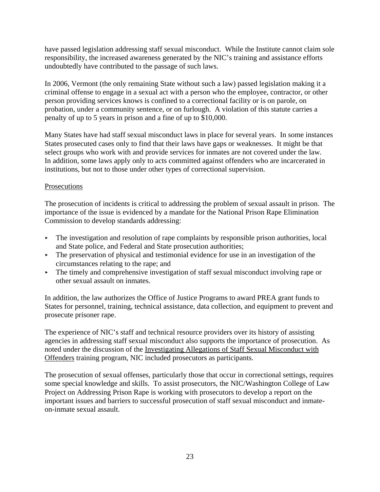have passed legislation addressing staff sexual misconduct. While the Institute cannot claim sole responsibility, the increased awareness generated by the NIC's training and assistance efforts undoubtedly have contributed to the passage of such laws.

In 2006, Vermont (the only remaining State without such a law) passed legislation making it a criminal offense to engage in a sexual act with a person who the employee, contractor, or other person providing services knows is confined to a correctional facility or is on parole, on probation, under a community sentence, or on furlough. A violation of this statute carries a penalty of up to 5 years in prison and a fine of up to \$10,000.

Many States have had staff sexual misconduct laws in place for several years. In some instances States prosecuted cases only to find that their laws have gaps or weaknesses. It might be that select groups who work with and provide services for inmates are not covered under the law. In addition, some laws apply only to acts committed against offenders who are incarcerated in institutions, but not to those under other types of correctional supervision.

#### **Prosecutions**

The prosecution of incidents is critical to addressing the problem of sexual assault in prison. The importance of the issue is evidenced by a mandate for the National Prison Rape Elimination Commission to develop standards addressing:

- $\triangleright$  The investigation and resolution of rape complaints by responsible prison authorities, local and State police, and Federal and State prosecution authorities;
- $\triangleright$  The preservation of physical and testimonial evidence for use in an investigation of the circumstances relating to the rape; and
- $\triangleright$  The timely and comprehensive investigation of staff sexual misconduct involving rape or other sexual assault on inmates.

In addition, the law authorizes the Office of Justice Programs to award PREA grant funds to States for personnel, training, technical assistance, data collection, and equipment to prevent and prosecute prisoner rape.

The experience of NIC's staff and technical resource providers over its history of assisting agencies in addressing staff sexual misconduct also supports the importance of prosecution. As noted under the discussion of the Investigating Allegations of Staff Sexual Misconduct with Offenders training program, NIC included prosecutors as participants.

The prosecution of sexual offenses, particularly those that occur in correctional settings, requires some special knowledge and skills. To assist prosecutors, the NIC/Washington College of Law Project on Addressing Prison Rape is working with prosecutors to develop a report on the important issues and barriers to successful prosecution of staff sexual misconduct and inmateon-inmate sexual assault.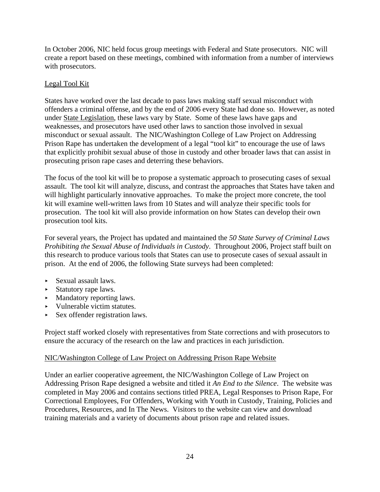In October 2006, NIC held focus group meetings with Federal and State prosecutors. NIC will create a report based on these meetings, combined with information from a number of interviews with prosecutors.

#### Legal Tool Kit

States have worked over the last decade to pass laws making staff sexual misconduct with offenders a criminal offense, and by the end of 2006 every State had done so. However, as noted under State Legislation, these laws vary by State. Some of these laws have gaps and weaknesses, and prosecutors have used other laws to sanction those involved in sexual misconduct or sexual assault. The NIC/Washington College of Law Project on Addressing Prison Rape has undertaken the development of a legal "tool kit" to encourage the use of laws that explicitly prohibit sexual abuse of those in custody and other broader laws that can assist in prosecuting prison rape cases and deterring these behaviors.

The focus of the tool kit will be to propose a systematic approach to prosecuting cases of sexual assault. The tool kit will analyze, discuss, and contrast the approaches that States have taken and will highlight particularly innovative approaches. To make the project more concrete, the tool kit will examine well-written laws from 10 States and will analyze their specific tools for prosecution. The tool kit will also provide information on how States can develop their own prosecution tool kits.

For several years, the Project has updated and maintained the *50 State Survey of Criminal Laws Prohibiting the Sexual Abuse of Individuals in Custody*. Throughout 2006, Project staff built on this research to produce various tools that States can use to prosecute cases of sexual assault in prison. At the end of 2006, the following State surveys had been completed:

- $\triangleright$  Sexual assault laws.
- **EXECUTE:** Statutory rape laws.
- Mandatory reporting laws.
- Vulnerable victim statutes.
- $\triangleright$  Sex offender registration laws.

Project staff worked closely with representatives from State corrections and with prosecutors to ensure the accuracy of the research on the law and practices in each jurisdiction.

#### NIC/Washington College of Law Project on Addressing Prison Rape Website

Under an earlier cooperative agreement, the NIC/Washington College of Law Project on Addressing Prison Rape designed a website and titled it *An End to the Silence*. The website was completed in May 2006 and contains sections titled PREA, Legal Responses to Prison Rape, For Correctional Employees, For Offenders, Working with Youth in Custody, Training, Policies and Procedures, Resources, and In The News. Visitors to the website can view and download training materials and a variety of documents about prison rape and related issues.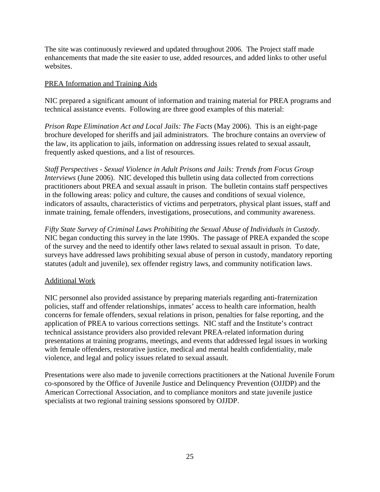The site was continuously reviewed and updated throughout 2006. The Project staff made enhancements that made the site easier to use, added resources, and added links to other useful websites.

#### PREA Information and Training Aids

NIC prepared a significant amount of information and training material for PREA programs and technical assistance events. Following are three good examples of this material:

*Prison Rape Elimination Act and Local Jails: The Facts* (May 2006). This is an eight-page brochure developed for sheriffs and jail administrators. The brochure contains an overview of the law, its application to jails, information on addressing issues related to sexual assault, frequently asked questions, and a list of resources.

*Staff Perspectives - Sexual Violence in Adult Prisons and Jails: Trends from Focus Group Interviews* (June 2006). NIC developed this bulletin using data collected from corrections practitioners about PREA and sexual assault in prison. The bulletin contains staff perspectives in the following areas: policy and culture, the causes and conditions of sexual violence, indicators of assaults, characteristics of victims and perpetrators, physical plant issues, staff and inmate training, female offenders, investigations, prosecutions, and community awareness.

*Fifty State Survey of Criminal Laws Prohibiting the Sexual Abuse of Individuals in Custody*. NIC began conducting this survey in the late 1990s. The passage of PREA expanded the scope of the survey and the need to identify other laws related to sexual assault in prison. To date, surveys have addressed laws prohibiting sexual abuse of person in custody, mandatory reporting statutes (adult and juvenile), sex offender registry laws, and community notification laws.

#### Additional Work

NIC personnel also provided assistance by preparing materials regarding anti-fraternization policies, staff and offender relationships, inmates' access to health care information, health concerns for female offenders, sexual relations in prison, penalties for false reporting, and the application of PREA to various corrections settings. NIC staff and the Institute's contract technical assistance providers also provided relevant PREA-related information during presentations at training programs, meetings, and events that addressed legal issues in working with female offenders, restorative justice, medical and mental health confidentiality, male violence, and legal and policy issues related to sexual assault.

Presentations were also made to juvenile corrections practitioners at the National Juvenile Forum co-sponsored by the Office of Juvenile Justice and Delinquency Prevention (OJJDP) and the American Correctional Association, and to compliance monitors and state juvenile justice specialists at two regional training sessions sponsored by OJJDP.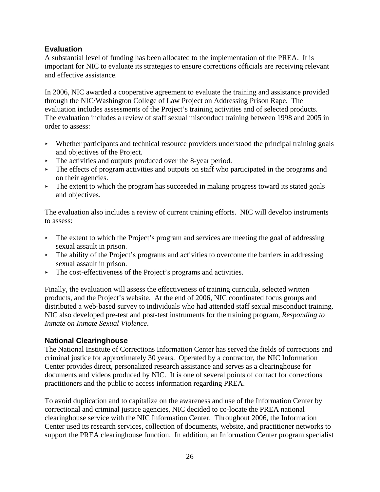## **Evaluation**

A substantial level of funding has been allocated to the implementation of the PREA. It is important for NIC to evaluate its strategies to ensure corrections officials are receiving relevant and effective assistance.

In 2006, NIC awarded a cooperative agreement to evaluate the training and assistance provided through the NIC/Washington College of Law Project on Addressing Prison Rape. The evaluation includes assessments of the Project's training activities and of selected products. The evaluation includes a review of staff sexual misconduct training between 1998 and 2005 in order to assess:

- $\blacktriangleright$  Whether participants and technical resource providers understood the principal training goals and objectives of the Project.
- $\blacktriangleright$  The activities and outputs produced over the 8-year period.
- $\triangleright$  The effects of program activities and outputs on staff who participated in the programs and on their agencies.
- $\blacktriangleright$  The extent to which the program has succeeded in making progress toward its stated goals and objectives.

The evaluation also includes a review of current training efforts. NIC will develop instruments to assess:

- $\blacktriangleright$  The extent to which the Project's program and services are meeting the goal of addressing sexual assault in prison.
- $\triangleright$  The ability of the Project's programs and activities to overcome the barriers in addressing sexual assault in prison.
- $\triangleright$  The cost-effectiveness of the Project's programs and activities.

Finally, the evaluation will assess the effectiveness of training curricula, selected written products, and the Project's website. At the end of 2006, NIC coordinated focus groups and distributed a web-based survey to individuals who had attended staff sexual misconduct training. NIC also developed pre-test and post-test instruments for the training program, *Responding to Inmate on Inmate Sexual Violence*.

## **National Clearinghouse**

The National Institute of Corrections Information Center has served the fields of corrections and criminal justice for approximately 30 years. Operated by a contractor, the NIC Information Center provides direct, personalized research assistance and serves as a clearinghouse for documents and videos produced by NIC. It is one of several points of contact for corrections practitioners and the public to access information regarding PREA.

To avoid duplication and to capitalize on the awareness and use of the Information Center by correctional and criminal justice agencies, NIC decided to co-locate the PREA national clearinghouse service with the NIC Information Center. Throughout 2006, the Information Center used its research services, collection of documents, website, and practitioner networks to support the PREA clearinghouse function. In addition, an Information Center program specialist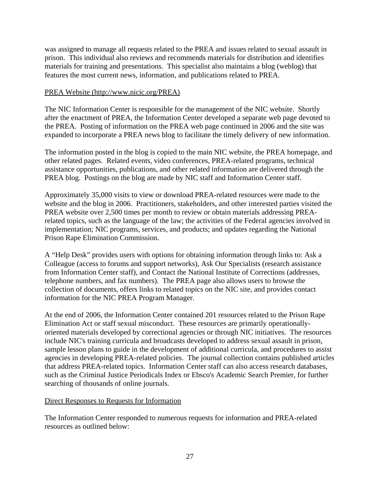was assigned to manage all requests related to the PREA and issues related to sexual assault in prison. This individual also reviews and recommends materials for distribution and identifies materials for training and presentations. This specialist also maintains a blog (weblog) that features the most current news, information, and publications related to PREA.

#### PREA Website (http://www.nicic.org/PREA)

The NIC Information Center is responsible for the management of the NIC website. Shortly after the enactment of PREA, the Information Center developed a separate web page devoted to the PREA. Posting of information on the PREA web page continued in 2006 and the site was expanded to incorporate a PREA news blog to facilitate the timely delivery of new information.

The information posted in the blog is copied to the main NIC website, the PREA homepage, and other related pages. Related events, video conferences, PREA-related programs, technical assistance opportunities, publications, and other related information are delivered through the PREA blog. Postings on the blog are made by NIC staff and Information Center staff.

Approximately 35,000 visits to view or download PREA-related resources were made to the website and the blog in 2006. Practitioners, stakeholders, and other interested parties visited the PREA website over 2,500 times per month to review or obtain materials addressing PREArelated topics, such as the language of the law; the activities of the Federal agencies involved in implementation; NIC programs, services, and products; and updates regarding the National Prison Rape Elimination Commission.

A "Help Desk" provides users with options for obtaining information through links to: Ask a Colleague (access to forums and support networks), Ask Our Specialists (research assistance from Information Center staff), and Contact the National Institute of Corrections (addresses, telephone numbers, and fax numbers). The PREA page also allows users to browse the collection of documents, offers links to related topics on the NIC site, and provides contact information for the NIC PREA Program Manager.

At the end of 2006, the Information Center contained 201 resources related to the Prison Rape Elimination Act or staff sexual misconduct. These resources are primarily operationallyoriented materials developed by correctional agencies or through NIC initiatives. The resources include NIC's training curricula and broadcasts developed to address sexual assault in prison, sample lesson plans to guide in the development of additional curricula, and procedures to assist agencies in developing PREA-related policies. The journal collection contains published articles that address PREA-related topics. Information Center staff can also access research databases, such as the Criminal Justice Periodicals Index or Ebsco's Academic Search Premier, for further searching of thousands of online journals.

#### Direct Responses to Requests for Information

The Information Center responded to numerous requests for information and PREA-related resources as outlined below: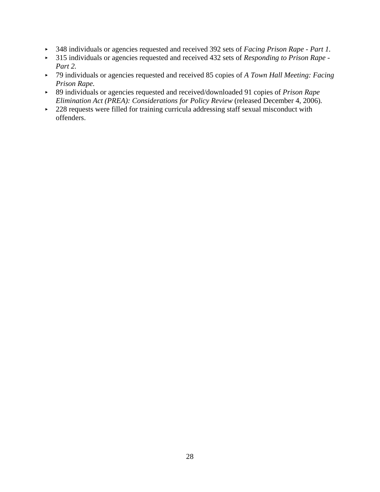- < 348 individuals or agencies requested and received 392 sets of *Facing Prison Rape Part 1.*
- < 315 individuals or agencies requested and received 432 sets of *Responding to Prison Rape - Part 2.*
- < 79 individuals or agencies requested and received 85 copies of *A Town Hall Meeting: Facing Prison Rape.*
- < 89 individuals or agencies requested and received/downloaded 91 copies of *Prison Rape Elimination Act (PREA): Considerations for Policy Review (released December 4, 2006).*
- $\sim$  228 requests were filled for training curricula addressing staff sexual misconduct with offenders.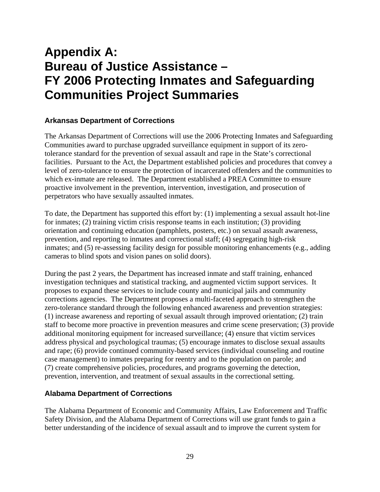# **Appendix A: Bureau of Justice Assistance – FY 2006 Protecting Inmates and Safeguarding Communities Project Summaries**

## **Arkansas Department of Corrections**

The Arkansas Department of Corrections will use the 2006 Protecting Inmates and Safeguarding Communities award to purchase upgraded surveillance equipment in support of its zerotolerance standard for the prevention of sexual assault and rape in the State's correctional facilities. Pursuant to the Act, the Department established policies and procedures that convey a level of zero-tolerance to ensure the protection of incarcerated offenders and the communities to which ex-inmate are released. The Department established a PREA Committee to ensure proactive involvement in the prevention, intervention, investigation, and prosecution of perpetrators who have sexually assaulted inmates.

To date, the Department has supported this effort by: (1) implementing a sexual assault hot-line for inmates; (2) training victim crisis response teams in each institution; (3) providing orientation and continuing education (pamphlets, posters, etc.) on sexual assault awareness, prevention, and reporting to inmates and correctional staff; (4) segregating high-risk inmates; and (5) re-assessing facility design for possible monitoring enhancements (e.g., adding cameras to blind spots and vision panes on solid doors).

During the past 2 years, the Department has increased inmate and staff training, enhanced investigation techniques and statistical tracking, and augmented victim support services. It proposes to expand these services to include county and municipal jails and community corrections agencies. The Department proposes a multi-faceted approach to strengthen the zero-tolerance standard through the following enhanced awareness and prevention strategies: (1) increase awareness and reporting of sexual assault through improved orientation; (2) train staff to become more proactive in prevention measures and crime scene preservation; (3) provide additional monitoring equipment for increased surveillance; (4) ensure that victim services address physical and psychological traumas; (5) encourage inmates to disclose sexual assaults and rape; (6) provide continued community-based services (individual counseling and routine case management) to inmates preparing for reentry and to the population on parole; and (7) create comprehensive policies, procedures, and programs governing the detection, prevention, intervention, and treatment of sexual assaults in the correctional setting.

#### **Alabama Department of Corrections**

The Alabama Department of Economic and Community Affairs, Law Enforcement and Traffic Safety Division, and the Alabama Department of Corrections will use grant funds to gain a better understanding of the incidence of sexual assault and to improve the current system for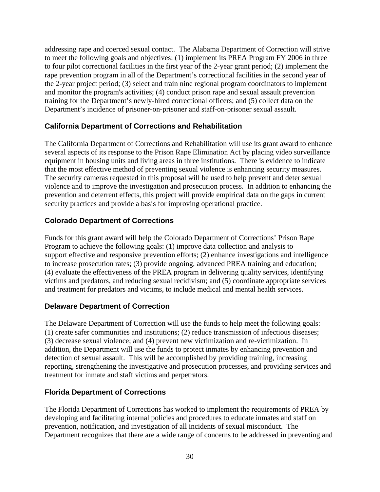addressing rape and coerced sexual contact. The Alabama Department of Correction will strive to meet the following goals and objectives: (1) implement its PREA Program FY 2006 in three to four pilot correctional facilities in the first year of the 2-year grant period; (2) implement the rape prevention program in all of the Department's correctional facilities in the second year of the 2-year project period; (3) select and train nine regional program coordinators to implement and monitor the program's activities; (4) conduct prison rape and sexual assault prevention training for the Department's newly-hired correctional officers; and (5) collect data on the Department's incidence of prisoner-on-prisoner and staff-on-prisoner sexual assault.

## **California Department of Corrections and Rehabilitation**

The California Department of Corrections and Rehabilitation will use its grant award to enhance several aspects of its response to the Prison Rape Elimination Act by placing video surveillance equipment in housing units and living areas in three institutions. There is evidence to indicate that the most effective method of preventing sexual violence is enhancing security measures. The security cameras requested in this proposal will be used to help prevent and deter sexual violence and to improve the investigation and prosecution process. In addition to enhancing the prevention and deterrent effects, this project will provide empirical data on the gaps in current security practices and provide a basis for improving operational practice.

## **Colorado Department of Corrections**

Funds for this grant award will help the Colorado Department of Corrections' Prison Rape Program to achieve the following goals: (1) improve data collection and analysis to support effective and responsive prevention efforts; (2) enhance investigations and intelligence to increase prosecution rates; (3) provide ongoing, advanced PREA training and education; (4) evaluate the effectiveness of the PREA program in delivering quality services, identifying victims and predators, and reducing sexual recidivism; and (5) coordinate appropriate services and treatment for predators and victims, to include medical and mental health services.

## **Delaware Department of Correction**

The Delaware Department of Correction will use the funds to help meet the following goals: (1) create safer communities and institutions; (2) reduce transmission of infectious diseases; (3) decrease sexual violence; and (4) prevent new victimization and re-victimization. In addition, the Department will use the funds to protect inmates by enhancing prevention and detection of sexual assault. This will be accomplished by providing training, increasing reporting, strengthening the investigative and prosecution processes, and providing services and treatment for inmate and staff victims and perpetrators.

#### **Florida Department of Corrections**

The Florida Department of Corrections has worked to implement the requirements of PREA by developing and facilitating internal policies and procedures to educate inmates and staff on prevention, notification, and investigation of all incidents of sexual misconduct. The Department recognizes that there are a wide range of concerns to be addressed in preventing and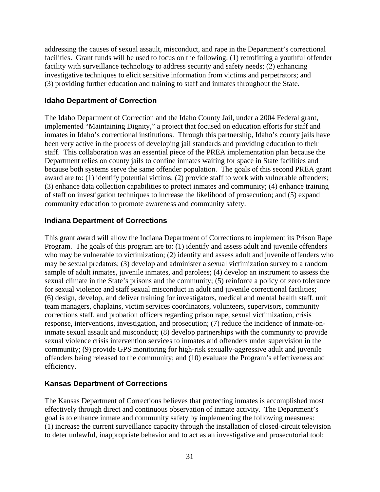addressing the causes of sexual assault, misconduct, and rape in the Department's correctional facilities. Grant funds will be used to focus on the following: (1) retrofitting a youthful offender facility with surveillance technology to address security and safety needs; (2) enhancing investigative techniques to elicit sensitive information from victims and perpetrators; and (3) providing further education and training to staff and inmates throughout the State.

#### **Idaho Department of Correction**

The Idaho Department of Correction and the Idaho County Jail, under a 2004 Federal grant, implemented "Maintaining Dignity," a project that focused on education efforts for staff and inmates in Idaho's correctional institutions. Through this partnership, Idaho's county jails have been very active in the process of developing jail standards and providing education to their staff. This collaboration was an essential piece of the PREA implementation plan because the Department relies on county jails to confine inmates waiting for space in State facilities and because both systems serve the same offender population. The goals of this second PREA grant award are to: (1) identify potential victims; (2) provide staff to work with vulnerable offenders; (3) enhance data collection capabilities to protect inmates and community; (4) enhance training of staff on investigation techniques to increase the likelihood of prosecution; and (5) expand community education to promote awareness and community safety.

#### **Indiana Department of Corrections**

This grant award will allow the Indiana Department of Corrections to implement its Prison Rape Program. The goals of this program are to: (1) identify and assess adult and juvenile offenders who may be vulnerable to victimization; (2) identify and assess adult and juvenile offenders who may be sexual predators; (3) develop and administer a sexual victimization survey to a random sample of adult inmates, juvenile inmates, and parolees; (4) develop an instrument to assess the sexual climate in the State's prisons and the community; (5) reinforce a policy of zero tolerance for sexual violence and staff sexual misconduct in adult and juvenile correctional facilities; (6) design, develop, and deliver training for investigators, medical and mental health staff, unit team managers, chaplains, victim services coordinators, volunteers, supervisors, community corrections staff, and probation officers regarding prison rape, sexual victimization, crisis response, interventions, investigation, and prosecution; (7) reduce the incidence of inmate-oninmate sexual assault and misconduct; (8) develop partnerships with the community to provide sexual violence crisis intervention services to inmates and offenders under supervision in the community; (9) provide GPS monitoring for high-risk sexually-aggressive adult and juvenile offenders being released to the community; and (10) evaluate the Program's effectiveness and efficiency.

#### **Kansas Department of Corrections**

The Kansas Department of Corrections believes that protecting inmates is accomplished most effectively through direct and continuous observation of inmate activity. The Department's goal is to enhance inmate and community safety by implementing the following measures: (1) increase the current surveillance capacity through the installation of closed-circuit television to deter unlawful, inappropriate behavior and to act as an investigative and prosecutorial tool;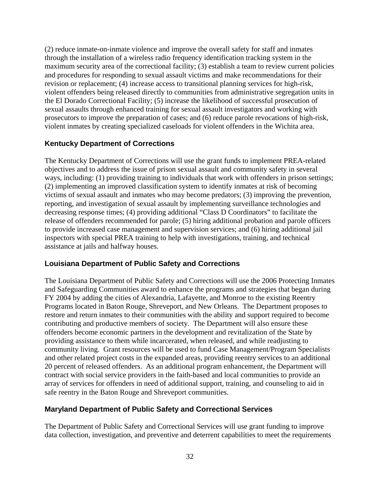(2) reduce inmate-on-inmate violence and improve the overall safety for staff and inmates through the installation of a wireless radio frequency identification tracking system in the maximum security area of the correctional facility; (3) establish a team to review current policies and procedures for responding to sexual assault victims and make recommendations for their revision or replacement; (4) increase access to transitional planning services for high-risk, violent offenders being released directly to communities from administrative segregation units in the El Dorado Correctional Facility; (5) increase the likelihood of successful prosecution of sexual assaults through enhanced training for sexual assault investigators and working with prosecutors to improve the preparation of cases; and (6) reduce parole revocations of high-risk, violent inmates by creating specialized caseloads for violent offenders in the Wichita area.

## **Kentucky Department of Corrections**

The Kentucky Department of Corrections will use the grant funds to implement PREA-related objectives and to address the issue of prison sexual assault and community safety in several ways, including: (1) providing training to individuals that work with offenders in prison settings; (2) implementing an improved classification system to identify inmates at risk of becoming victims of sexual assault and inmates who may become predators; (3) improving the prevention, reporting, and investigation of sexual assault by implementing surveillance technologies and decreasing response times; (4) providing additional "Class D Coordinators" to facilitate the release of offenders recommended for parole; (5) hiring additional probation and parole officers to provide increased case management and supervision services; and (6) hiring additional jail inspectors with special PREA training to help with investigations, training, and technical assistance at jails and halfway houses.

#### **Louisiana Department of Public Safety and Corrections**

The Louisiana Department of Public Safety and Corrections will use the 2006 Protecting Inmates and Safeguarding Communities award to enhance the programs and strategies that began during FY 2004 by adding the cities of Alexandria, Lafayette, and Monroe to the existing Reentry Programs located in Baton Rouge, Shreveport, and New Orleans. The Department proposes to restore and return inmates to their communities with the ability and support required to become contributing and productive members of society. The Department will also ensure these offenders become economic partners in the development and revitalization of the State by providing assistance to them while incarcerated, when released, and while readjusting to community living. Grant resources will be used to fund Case Management/Program Specialists and other related project costs in the expanded areas, providing reentry services to an additional 20 percent of released offenders. As an additional program enhancement, the Department will contract with social service providers in the faith-based and local communities to provide an array of services for offenders in need of additional support, training, and counseling to aid in safe reentry in the Baton Rouge and Shreveport communities.

#### **Maryland Department of Public Safety and Correctional Services**

The Department of Public Safety and Correctional Services will use grant funding to improve data collection, investigation, and preventive and deterrent capabilities to meet the requirements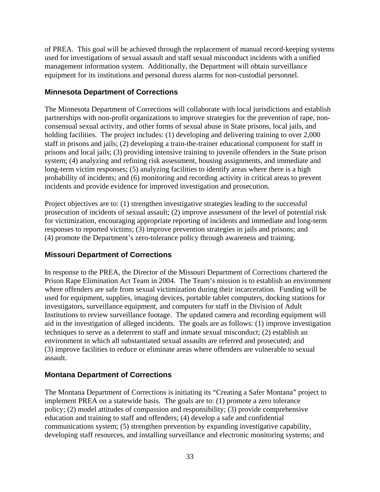of PREA. This goal will be achieved through the replacement of manual record-keeping systems used for investigations of sexual assault and staff sexual misconduct incidents with a unified management information system. Additionally, the Department will obtain surveillance equipment for its institutions and personal duress alarms for non-custodial personnel.

## **Minnesota Department of Corrections**

The Minnesota Department of Corrections will collaborate with local jurisdictions and establish partnerships with non-profit organizations to improve strategies for the prevention of rape, nonconsensual sexual activity, and other forms of sexual abuse in State prisons, local jails, and holding facilities. The project includes: (1) developing and delivering training to over 2,000 staff in prisons and jails; (2) developing a train-the-trainer educational component for staff in prisons and local jails; (3) providing intensive training to juvenile offenders in the State prison system; (4) analyzing and refining risk assessment, housing assignments, and immediate and long-term victim responses; (5) analyzing facilities to identify areas where there is a high probability of incidents; and (6) monitoring and recording activity in critical areas to prevent incidents and provide evidence for improved investigation and prosecution.

Project objectives are to: (1) strengthen investigative strategies leading to the successful prosecution of incidents of sexual assault; (2) improve assessment of the level of potential risk for victimization, encouraging appropriate reporting of incidents and immediate and long-term responses to reported victims; (3) improve prevention strategies in jails and prisons; and (4) promote the Department's zero-tolerance policy through awareness and training.

#### **Missouri Department of Corrections**

In response to the PREA, the Director of the Missouri Department of Corrections chartered the Prison Rape Elimination Act Team in 2004. The Team's mission is to establish an environment where offenders are safe from sexual victimization during their incarceration. Funding will be used for equipment, supplies, imaging devices, portable tablet computers, docking stations for investigators, surveillance equipment, and computers for staff in the Division of Adult Institutions to review surveillance footage. The updated camera and recording equipment will aid in the investigation of alleged incidents. The goals are as follows: (1) improve investigation techniques to serve as a deterrent to staff and inmate sexual misconduct; (2) establish an environment in which all substantiated sexual assaults are referred and prosecuted; and (3) improve facilities to reduce or eliminate areas where offenders are vulnerable to sexual assault.

#### **Montana Department of Corrections**

The Montana Department of Corrections is initiating its "Creating a Safer Montana" project to implement PREA on a statewide basis. The goals are to: (1) promote a zero tolerance policy; (2) model attitudes of compassion and responsibility; (3) provide comprehensive education and training to staff and offenders; (4) develop a safe and confidential communications system; (5) strengthen prevention by expanding investigative capability, developing staff resources, and installing surveillance and electronic monitoring systems; and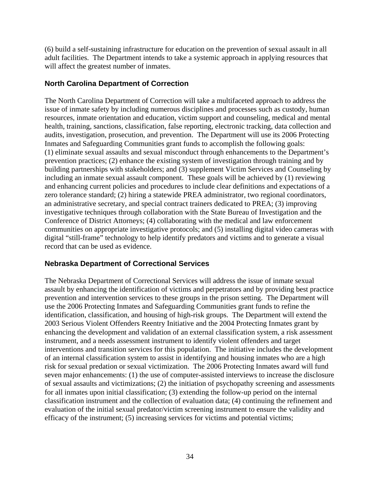(6) build a self-sustaining infrastructure for education on the prevention of sexual assault in all adult facilities. The Department intends to take a systemic approach in applying resources that will affect the greatest number of inmates.

#### **North Carolina Department of Correction**

The North Carolina Department of Correction will take a multifaceted approach to address the issue of inmate safety by including numerous disciplines and processes such as custody, human resources, inmate orientation and education, victim support and counseling, medical and mental health, training, sanctions, classification, false reporting, electronic tracking, data collection and audits, investigation, prosecution, and prevention. The Department will use its 2006 Protecting Inmates and Safeguarding Communities grant funds to accomplish the following goals: (1) eliminate sexual assaults and sexual misconduct through enhancements to the Department's prevention practices; (2) enhance the existing system of investigation through training and by building partnerships with stakeholders; and (3) supplement Victim Services and Counseling by including an inmate sexual assault component. These goals will be achieved by (1) reviewing and enhancing current policies and procedures to include clear definitions and expectations of a zero tolerance standard; (2) hiring a statewide PREA administrator, two regional coordinators, an administrative secretary, and special contract trainers dedicated to PREA; (3) improving investigative techniques through collaboration with the State Bureau of Investigation and the Conference of District Attorneys; (4) collaborating with the medical and law enforcement communities on appropriate investigative protocols; and (5) installing digital video cameras with digital "still-frame" technology to help identify predators and victims and to generate a visual record that can be used as evidence.

#### **Nebraska Department of Correctional Services**

The Nebraska Department of Correctional Services will address the issue of inmate sexual assault by enhancing the identification of victims and perpetrators and by providing best practice prevention and intervention services to these groups in the prison setting. The Department will use the 2006 Protecting Inmates and Safeguarding Communities grant funds to refine the identification, classification, and housing of high-risk groups. The Department will extend the 2003 Serious Violent Offenders Reentry Initiative and the 2004 Protecting Inmates grant by enhancing the development and validation of an external classification system, a risk assessment instrument, and a needs assessment instrument to identify violent offenders and target interventions and transition services for this population. The initiative includes the development of an internal classification system to assist in identifying and housing inmates who are a high risk for sexual predation or sexual victimization. The 2006 Protecting Inmates award will fund seven major enhancements: (1) the use of computer-assisted interviews to increase the disclosure of sexual assaults and victimizations; (2) the initiation of psychopathy screening and assessments for all inmates upon initial classification; (3) extending the follow-up period on the internal classification instrument and the collection of evaluation data; (4) continuing the refinement and evaluation of the initial sexual predator/victim screening instrument to ensure the validity and efficacy of the instrument; (5) increasing services for victims and potential victims;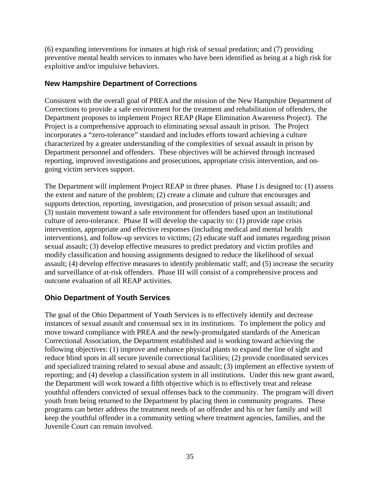(6) expanding interventions for inmates at high risk of sexual predation; and (7) providing preventive mental health services to inmates who have been identified as being at a high risk for exploitive and/or impulsive behaviors.

### **New Hampshire Department of Corrections**

Consistent with the overall goal of PREA and the mission of the New Hampshire Department of Corrections to provide a safe environment for the treatment and rehabilitation of offenders, the Department proposes to implement Project REAP (Rape Elimination Awareness Project). The Project is a comprehensive approach to eliminating sexual assault in prison. The Project incorporates a "zero-tolerance" standard and includes efforts toward achieving a culture characterized by a greater understanding of the complexities of sexual assault in prison by Department personnel and offenders. These objectives will be achieved through increased reporting, improved investigations and prosecutions, appropriate crisis intervention, and ongoing victim services support.

The Department will implement Project REAP in three phases. Phase I is designed to: (1) assess the extent and nature of the problem; (2) create a climate and culture that encourages and supports detection, reporting, investigation, and prosecution of prison sexual assault; and (3) sustain movement toward a safe environment for offenders based upon an institutional culture of zero-tolerance. Phase II will develop the capacity to: (1) provide rape crisis intervention, appropriate and effective responses (including medical and mental health interventions), and follow-up services to victims; (2) educate staff and inmates regarding prison sexual assault; (3) develop effective measures to predict predatory and victim profiles and modify classification and housing assignments designed to reduce the likelihood of sexual assault; (4) develop effective measures to identify problematic staff; and (5) increase the security and surveillance of at-risk offenders. Phase III will consist of a comprehensive process and outcome evaluation of all REAP activities.

## **Ohio Department of Youth Services**

The goal of the Ohio Department of Youth Services is to effectively identify and decrease instances of sexual assault and consensual sex in its institutions. To implement the policy and move toward compliance with PREA and the newly-promulgated standards of the American Correctional Association, the Department established and is working toward achieving the following objectives: (1) improve and enhance physical plants to expand the line of sight and reduce blind spots in all secure juvenile correctional facilities; (2) provide coordinated services and specialized training related to sexual abuse and assault; (3) implement an effective system of reporting; and (4) develop a classification system in all institutions. Under this new grant award, the Department will work toward a fifth objective which is to effectively treat and release youthful offenders convicted of sexual offenses back to the community. The program will divert youth from being returned to the Department by placing them in community programs. These programs can better address the treatment needs of an offender and his or her family and will keep the youthful offender in a community setting where treatment agencies, families, and the Juvenile Court can remain involved.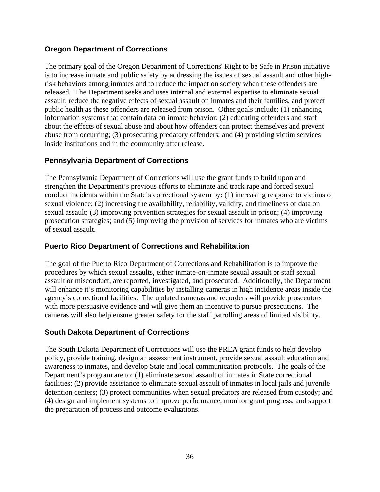## **Oregon Department of Corrections**

The primary goal of the Oregon Department of Corrections' Right to be Safe in Prison initiative is to increase inmate and public safety by addressing the issues of sexual assault and other highrisk behaviors among inmates and to reduce the impact on society when these offenders are released. The Department seeks and uses internal and external expertise to eliminate sexual assault, reduce the negative effects of sexual assault on inmates and their families, and protect public health as these offenders are released from prison. Other goals include: (1) enhancing information systems that contain data on inmate behavior; (2) educating offenders and staff about the effects of sexual abuse and about how offenders can protect themselves and prevent abuse from occurring; (3) prosecuting predatory offenders; and (4) providing victim services inside institutions and in the community after release.

## **Pennsylvania Department of Corrections**

The Pennsylvania Department of Corrections will use the grant funds to build upon and strengthen the Department's previous efforts to eliminate and track rape and forced sexual conduct incidents within the State's correctional system by: (1) increasing response to victims of sexual violence; (2) increasing the availability, reliability, validity, and timeliness of data on sexual assault; (3) improving prevention strategies for sexual assault in prison; (4) improving prosecution strategies; and (5) improving the provision of services for inmates who are victims of sexual assault.

#### **Puerto Rico Department of Corrections and Rehabilitation**

The goal of the Puerto Rico Department of Corrections and Rehabilitation is to improve the procedures by which sexual assaults, either inmate-on-inmate sexual assault or staff sexual assault or misconduct, are reported, investigated, and prosecuted. Additionally, the Department will enhance it's monitoring capabilities by installing cameras in high incidence areas inside the agency's correctional facilities. The updated cameras and recorders will provide prosecutors with more persuasive evidence and will give them an incentive to pursue prosecutions. The cameras will also help ensure greater safety for the staff patrolling areas of limited visibility.

#### **South Dakota Department of Corrections**

The South Dakota Department of Corrections will use the PREA grant funds to help develop policy, provide training, design an assessment instrument, provide sexual assault education and awareness to inmates, and develop State and local communication protocols. The goals of the Department's program are to: (1) eliminate sexual assault of inmates in State correctional facilities; (2) provide assistance to eliminate sexual assault of inmates in local jails and juvenile detention centers; (3) protect communities when sexual predators are released from custody; and (4) design and implement systems to improve performance, monitor grant progress, and support the preparation of process and outcome evaluations.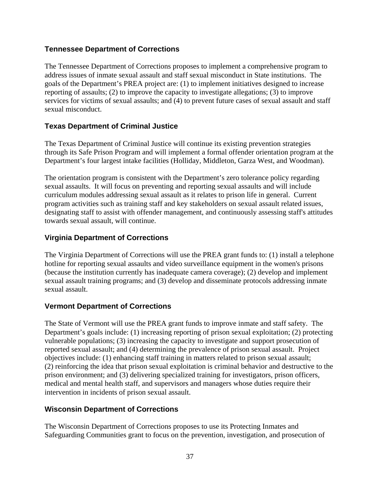## **Tennessee Department of Corrections**

The Tennessee Department of Corrections proposes to implement a comprehensive program to address issues of inmate sexual assault and staff sexual misconduct in State institutions. The goals of the Department's PREA project are: (1) to implement initiatives designed to increase reporting of assaults; (2) to improve the capacity to investigate allegations; (3) to improve services for victims of sexual assaults; and (4) to prevent future cases of sexual assault and staff sexual misconduct.

## **Texas Department of Criminal Justice**

The Texas Department of Criminal Justice will continue its existing prevention strategies through its Safe Prison Program and will implement a formal offender orientation program at the Department's four largest intake facilities (Holliday, Middleton, Garza West, and Woodman).

The orientation program is consistent with the Department's zero tolerance policy regarding sexual assaults. It will focus on preventing and reporting sexual assaults and will include curriculum modules addressing sexual assault as it relates to prison life in general. Current program activities such as training staff and key stakeholders on sexual assault related issues, designating staff to assist with offender management, and continuously assessing staff's attitudes towards sexual assault, will continue.

## **Virginia Department of Corrections**

The Virginia Department of Corrections will use the PREA grant funds to: (1) install a telephone hotline for reporting sexual assaults and video surveillance equipment in the women's prisons (because the institution currently has inadequate camera coverage); (2) develop and implement sexual assault training programs; and (3) develop and disseminate protocols addressing inmate sexual assault.

#### **Vermont Department of Corrections**

The State of Vermont will use the PREA grant funds to improve inmate and staff safety. The Department's goals include: (1) increasing reporting of prison sexual exploitation; (2) protecting vulnerable populations; (3) increasing the capacity to investigate and support prosecution of reported sexual assault; and (4) determining the prevalence of prison sexual assault. Project objectives include: (1) enhancing staff training in matters related to prison sexual assault; (2) reinforcing the idea that prison sexual exploitation is criminal behavior and destructive to the prison environment; and (3) delivering specialized training for investigators, prison officers, medical and mental health staff, and supervisors and managers whose duties require their intervention in incidents of prison sexual assault.

## **Wisconsin Department of Corrections**

The Wisconsin Department of Corrections proposes to use its Protecting Inmates and Safeguarding Communities grant to focus on the prevention, investigation, and prosecution of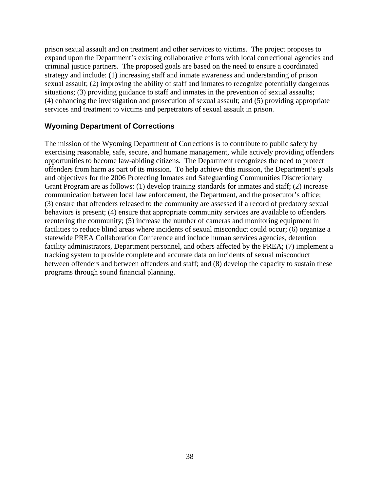prison sexual assault and on treatment and other services to victims. The project proposes to expand upon the Department's existing collaborative efforts with local correctional agencies and criminal justice partners. The proposed goals are based on the need to ensure a coordinated strategy and include: (1) increasing staff and inmate awareness and understanding of prison sexual assault; (2) improving the ability of staff and inmates to recognize potentially dangerous situations; (3) providing guidance to staff and inmates in the prevention of sexual assaults; (4) enhancing the investigation and prosecution of sexual assault; and (5) providing appropriate services and treatment to victims and perpetrators of sexual assault in prison.

#### **Wyoming Department of Corrections**

The mission of the Wyoming Department of Corrections is to contribute to public safety by exercising reasonable, safe, secure, and humane management, while actively providing offenders opportunities to become law-abiding citizens. The Department recognizes the need to protect offenders from harm as part of its mission. To help achieve this mission, the Department's goals and objectives for the 2006 Protecting Inmates and Safeguarding Communities Discretionary Grant Program are as follows: (1) develop training standards for inmates and staff; (2) increase communication between local law enforcement, the Department, and the prosecutor's office; (3) ensure that offenders released to the community are assessed if a record of predatory sexual behaviors is present; (4) ensure that appropriate community services are available to offenders reentering the community; (5) increase the number of cameras and monitoring equipment in facilities to reduce blind areas where incidents of sexual misconduct could occur; (6) organize a statewide PREA Collaboration Conference and include human services agencies, detention facility administrators, Department personnel, and others affected by the PREA; (7) implement a tracking system to provide complete and accurate data on incidents of sexual misconduct between offenders and between offenders and staff; and (8) develop the capacity to sustain these programs through sound financial planning.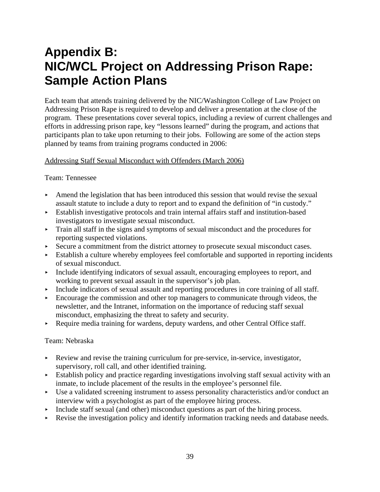# **Appendix B: NIC/WCL Project on Addressing Prison Rape: Sample Action Plans**

Each team that attends training delivered by the NIC/Washington College of Law Project on Addressing Prison Rape is required to develop and deliver a presentation at the close of the program. These presentations cover several topics, including a review of current challenges and efforts in addressing prison rape, key "lessons learned" during the program, and actions that participants plan to take upon returning to their jobs. Following are some of the action steps planned by teams from training programs conducted in 2006:

#### Addressing Staff Sexual Misconduct with Offenders (March 2006)

#### Team: Tennessee

- < Amend the legislation that has been introduced this session that would revise the sexual assault statute to include a duty to report and to expand the definition of "in custody."
- < Establish investigative protocols and train internal affairs staff and institution-based investigators to investigate sexual misconduct.
- $\triangleright$  Train all staff in the signs and symptoms of sexual misconduct and the procedures for reporting suspected violations.
- Secure a commitment from the district attorney to prosecute sexual misconduct cases.
- < Establish a culture whereby employees feel comfortable and supported in reporting incidents of sexual misconduct.
- $\blacktriangleright$  Include identifying indicators of sexual assault, encouraging employees to report, and working to prevent sexual assault in the supervisor's job plan.
- < Include indicators of sexual assault and reporting procedures in core training of all staff.
- < Encourage the commission and other top managers to communicate through videos, the newsletter, and the Intranet, information on the importance of reducing staff sexual misconduct, emphasizing the threat to safety and security.
- Require media training for wardens, deputy wardens, and other Central Office staff.

#### Team: Nebraska

- $\blacktriangleright$  Review and revise the training curriculum for pre-service, in-service, investigator, supervisory, roll call, and other identified training.
- $\blacktriangleright$  Establish policy and practice regarding investigations involving staff sexual activity with an inmate, to include placement of the results in the employee's personnel file.
- < Use a validated screening instrument to assess personality characteristics and/or conduct an interview with a psychologist as part of the employee hiring process.
- $\blacktriangleright$  Include staff sexual (and other) misconduct questions as part of the hiring process.
- Revise the investigation policy and identify information tracking needs and database needs.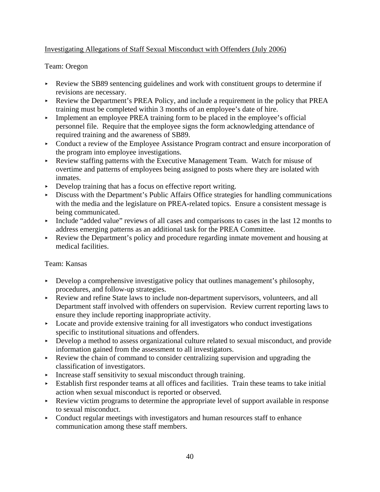## Investigating Allegations of Staff Sexual Misconduct with Offenders (July 2006)

### Team: Oregon

- Review the SB89 sentencing guidelines and work with constituent groups to determine if revisions are necessary.
- < Review the Department's PREA Policy, and include a requirement in the policy that PREA training must be completed within 3 months of an employee's date of hire.
- **Following 1** Implement an employee PREA training form to be placed in the employee's official personnel file. Require that the employee signs the form acknowledging attendance of required training and the awareness of SB89.
- Conduct a review of the Employee Assistance Program contract and ensure incorporation of the program into employee investigations.
- < Review staffing patterns with the Executive Management Team. Watch for misuse of overtime and patterns of employees being assigned to posts where they are isolated with inmates.
- < Develop training that has a focus on effective report writing.
- $\triangleright$  Discuss with the Department's Public Affairs Office strategies for handling communications with the media and the legislature on PREA-related topics. Ensure a consistent message is being communicated.
- $\triangleright$  Include "added value" reviews of all cases and comparisons to cases in the last 12 months to address emerging patterns as an additional task for the PREA Committee.
- External Review the Department's policy and procedure regarding inmate movement and housing at medical facilities.

#### Team: Kansas

- < Develop a comprehensive investigative policy that outlines management's philosophy, procedures, and follow-up strategies.
- < Review and refine State laws to include non-department supervisors, volunteers, and all Department staff involved with offenders on supervision. Review current reporting laws to ensure they include reporting inappropriate activity.
- $\triangleright$  Locate and provide extensive training for all investigators who conduct investigations specific to institutional situations and offenders.
- $\rightarrow$  Develop a method to assess organizational culture related to sexual misconduct, and provide information gained from the assessment to all investigators.
- $\triangleright$  Review the chain of command to consider centralizing supervision and upgrading the classification of investigators.
- < Increase staff sensitivity to sexual misconduct through training.
- < Establish first responder teams at all offices and facilities. Train these teams to take initial action when sexual misconduct is reported or observed.
- Review victim programs to determine the appropriate level of support available in response to sexual misconduct.
- $\triangleright$  Conduct regular meetings with investigators and human resources staff to enhance communication among these staff members.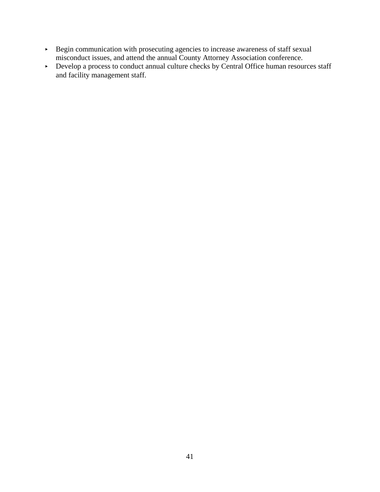- **Begin communication with prosecuting agencies to increase awareness of staff sexual** misconduct issues, and attend the annual County Attorney Association conference.
- Develop a process to conduct annual culture checks by Central Office human resources staff and facility management staff.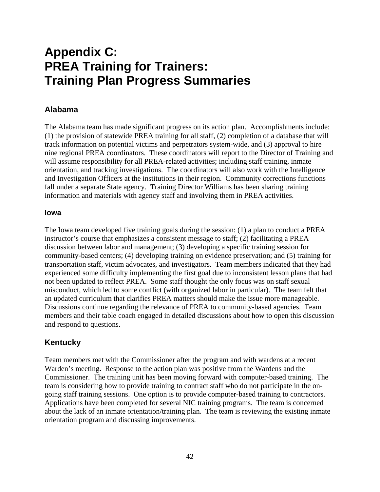# **Appendix C: PREA Training for Trainers: Training Plan Progress Summaries**

## **Alabama**

The Alabama team has made significant progress on its action plan. Accomplishments include: (1) the provision of statewide PREA training for all staff, (2) completion of a database that will track information on potential victims and perpetrators system-wide, and (3) approval to hire nine regional PREA coordinators. These coordinators will report to the Director of Training and will assume responsibility for all PREA-related activities; including staff training, inmate orientation, and tracking investigations. The coordinators will also work with the Intelligence and Investigation Officers at the institutions in their region. Community corrections functions fall under a separate State agency. Training Director Williams has been sharing training information and materials with agency staff and involving them in PREA activities.

#### **Iowa**

The Iowa team developed five training goals during the session: (1) a plan to conduct a PREA instructor's course that emphasizes a consistent message to staff; (2) facilitating a PREA discussion between labor and management; (3) developing a specific training session for community-based centers; (4) developing training on evidence preservation; and (5) training for transportation staff, victim advocates, and investigators. Team members indicated that they had experienced some difficulty implementing the first goal due to inconsistent lesson plans that had not been updated to reflect PREA. Some staff thought the only focus was on staff sexual misconduct, which led to some conflict (with organized labor in particular). The team felt that an updated curriculum that clarifies PREA matters should make the issue more manageable. Discussions continue regarding the relevance of PREA to community-based agencies. Team members and their table coach engaged in detailed discussions about how to open this discussion and respond to questions.

## **Kentucky**

Team members met with the Commissioner after the program and with wardens at a recent Warden's meeting**.** Response to the action plan was positive from the Wardens and the Commissioner. The training unit has been moving forward with computer-based training. The team is considering how to provide training to contract staff who do not participate in the ongoing staff training sessions. One option is to provide computer-based training to contractors. Applications have been completed for several NIC training programs. The team is concerned about the lack of an inmate orientation/training plan. The team is reviewing the existing inmate orientation program and discussing improvements.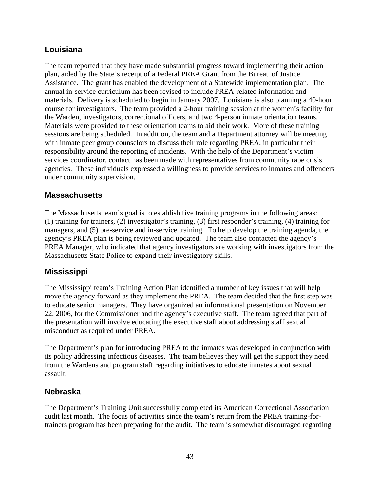## **Louisiana**

The team reported that they have made substantial progress toward implementing their action plan, aided by the State's receipt of a Federal PREA Grant from the Bureau of Justice Assistance. The grant has enabled the development of a Statewide implementation plan. The annual in-service curriculum has been revised to include PREA-related information and materials. Delivery is scheduled to begin in January 2007. Louisiana is also planning a 40-hour course for investigators. The team provided a 2-hour training session at the women's facility for the Warden, investigators, correctional officers, and two 4-person inmate orientation teams. Materials were provided to these orientation teams to aid their work. More of these training sessions are being scheduled. In addition, the team and a Department attorney will be meeting with inmate peer group counselors to discuss their role regarding PREA, in particular their responsibility around the reporting of incidents. With the help of the Department's victim services coordinator, contact has been made with representatives from community rape crisis agencies. These individuals expressed a willingness to provide services to inmates and offenders under community supervision.

## **Massachusetts**

The Massachusetts team's goal is to establish five training programs in the following areas: (1) training for trainers, (2) investigator's training, (3) first responder's training, (4) training for managers, and (5) pre-service and in-service training. To help develop the training agenda, the agency's PREA plan is being reviewed and updated. The team also contacted the agency's PREA Manager, who indicated that agency investigators are working with investigators from the Massachusetts State Police to expand their investigatory skills.

## **Mississippi**

The Mississippi team's Training Action Plan identified a number of key issues that will help move the agency forward as they implement the PREA. The team decided that the first step was to educate senior managers. They have organized an informational presentation on November 22, 2006, for the Commissioner and the agency's executive staff. The team agreed that part of the presentation will involve educating the executive staff about addressing staff sexual misconduct as required under PREA.

The Department's plan for introducing PREA to the inmates was developed in conjunction with its policy addressing infectious diseases. The team believes they will get the support they need from the Wardens and program staff regarding initiatives to educate inmates about sexual assault.

## **Nebraska**

The Department's Training Unit successfully completed its American Correctional Association audit last month. The focus of activities since the team's return from the PREA training-fortrainers program has been preparing for the audit. The team is somewhat discouraged regarding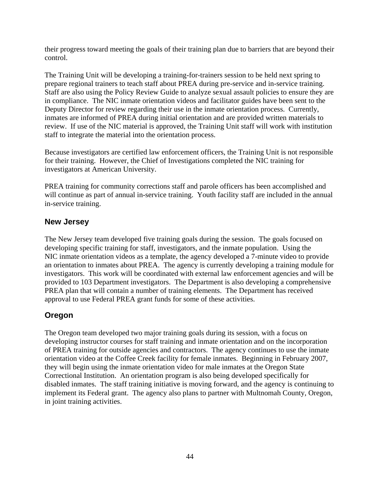their progress toward meeting the goals of their training plan due to barriers that are beyond their control.

The Training Unit will be developing a training-for-trainers session to be held next spring to prepare regional trainers to teach staff about PREA during pre-service and in-service training. Staff are also using the Policy Review Guide to analyze sexual assault policies to ensure they are in compliance. The NIC inmate orientation videos and facilitator guides have been sent to the Deputy Director for review regarding their use in the inmate orientation process. Currently, inmates are informed of PREA during initial orientation and are provided written materials to review. If use of the NIC material is approved, the Training Unit staff will work with institution staff to integrate the material into the orientation process.

Because investigators are certified law enforcement officers, the Training Unit is not responsible for their training. However, the Chief of Investigations completed the NIC training for investigators at American University.

PREA training for community corrections staff and parole officers has been accomplished and will continue as part of annual in-service training. Youth facility staff are included in the annual in-service training.

## **New Jersey**

The New Jersey team developed five training goals during the session. The goals focused on developing specific training for staff, investigators, and the inmate population. Using the NIC inmate orientation videos as a template, the agency developed a 7-minute video to provide an orientation to inmates about PREA. The agency is currently developing a training module for investigators. This work will be coordinated with external law enforcement agencies and will be provided to 103 Department investigators. The Department is also developing a comprehensive PREA plan that will contain a number of training elements. The Department has received approval to use Federal PREA grant funds for some of these activities.

## **Oregon**

The Oregon team developed two major training goals during its session, with a focus on developing instructor courses for staff training and inmate orientation and on the incorporation of PREA training for outside agencies and contractors. The agency continues to use the inmate orientation video at the Coffee Creek facility for female inmates. Beginning in February 2007, they will begin using the inmate orientation video for male inmates at the Oregon State Correctional Institution. An orientation program is also being developed specifically for disabled inmates. The staff training initiative is moving forward, and the agency is continuing to implement its Federal grant. The agency also plans to partner with Multnomah County, Oregon, in joint training activities.